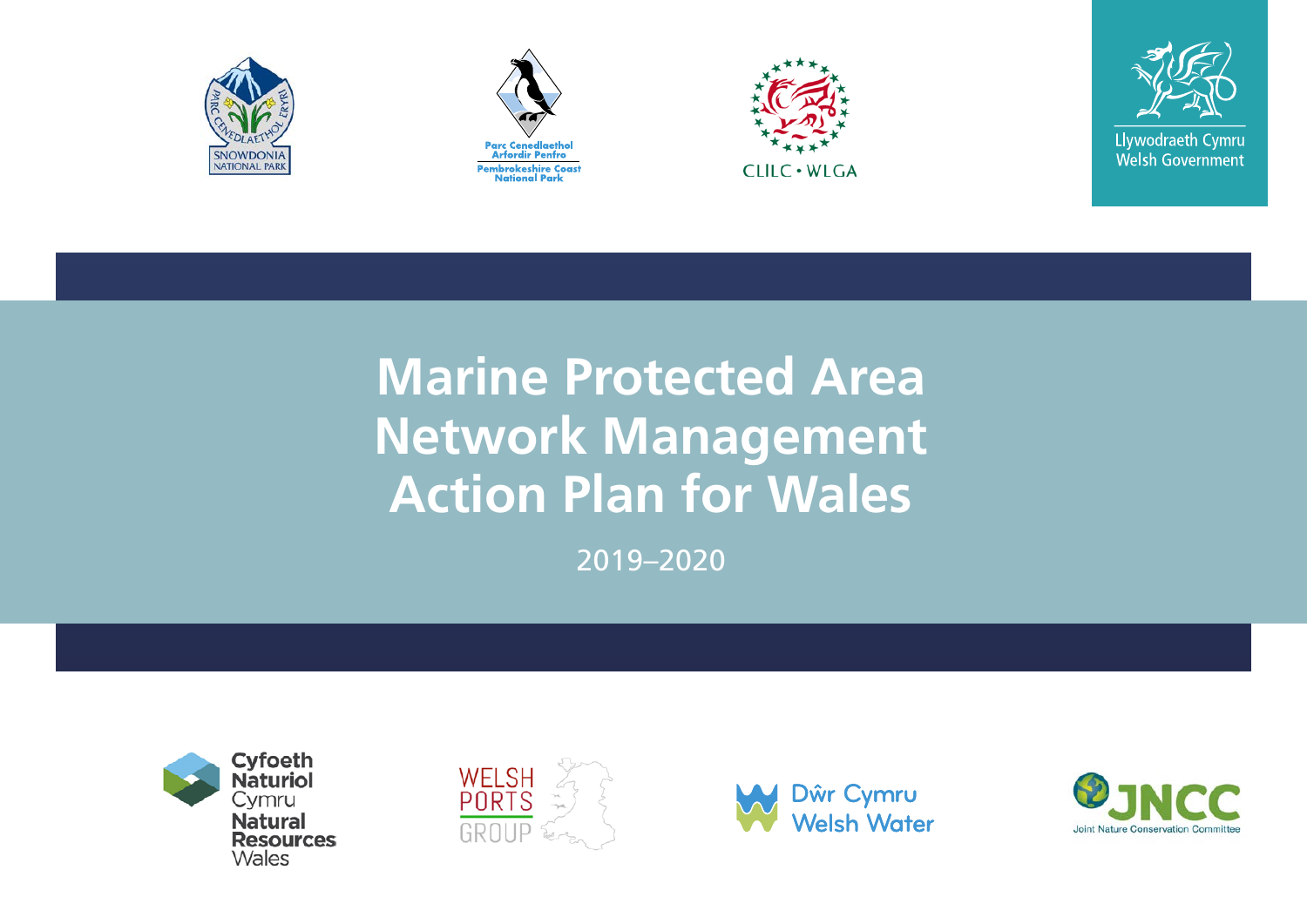







# **Marine Protected Area Network Management Action Plan for Wales**

2019–2020







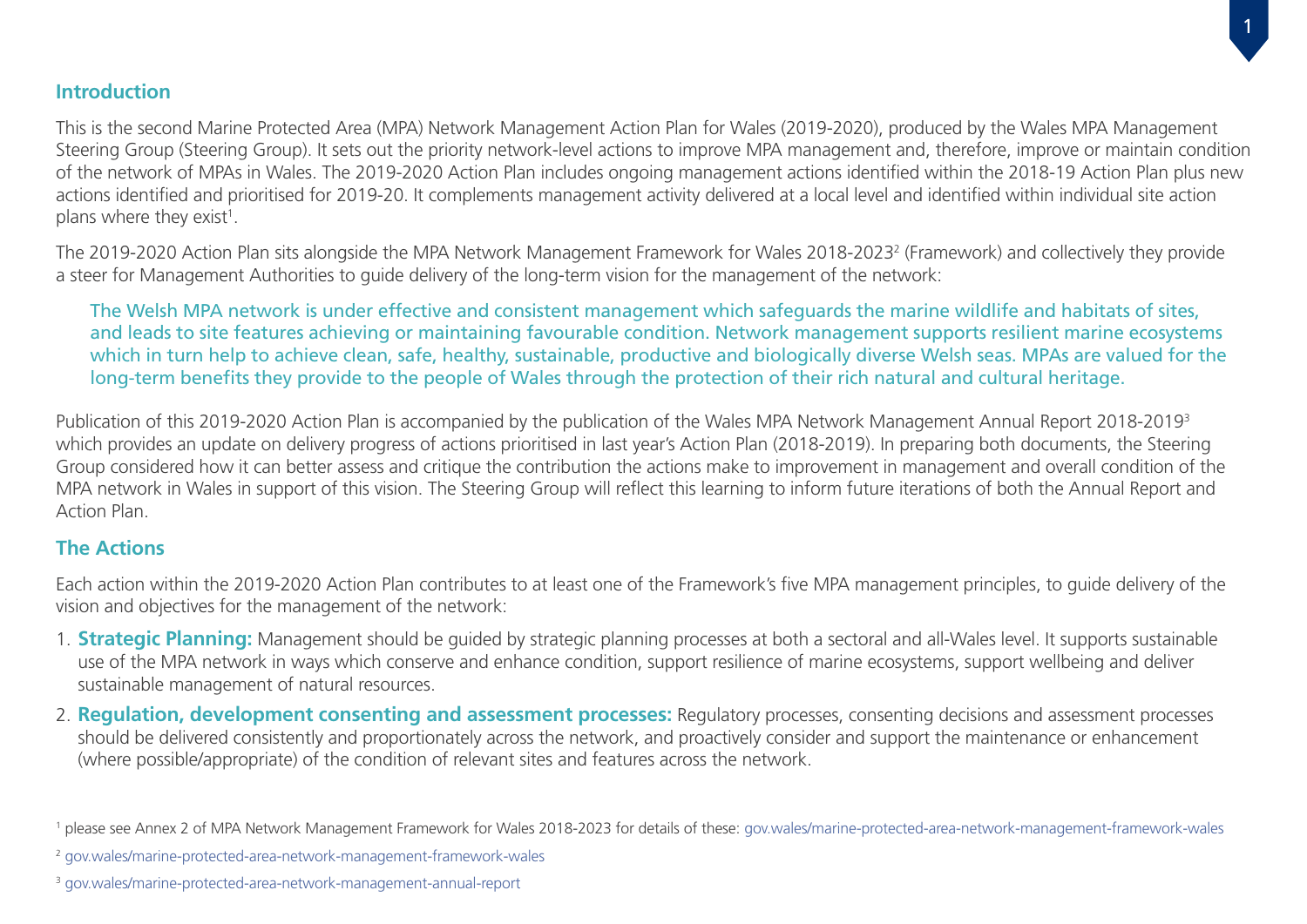#### **Introduction**

This is the second Marine Protected Area (MPA) Network Management Action Plan for Wales (2019-2020), produced by the Wales MPA Management Steering Group (Steering Group). It sets out the priority network-level actions to improve MPA management and, therefore, improve or maintain condition of the network of MPAs in Wales. The 2019-2020 Action Plan includes ongoing management actions identified within the 2018-19 Action Plan plus new actions identified and prioritised for 2019-20. It complements management activity delivered at a local level and identified within individual site action plans where they exist<sup>1</sup>.

The 2019-2020 Action Plan sits alongside the MPA Network Management Framework for Wales 2018-2023<sup>2</sup> (Framework) and collectively they provide a steer for Management Authorities to guide delivery of the long-term vision for the management of the network:

The Welsh MPA network is under effective and consistent management which safeguards the marine wildlife and habitats of sites, and leads to site features achieving or maintaining favourable condition. Network management supports resilient marine ecosystems which in turn help to achieve clean, safe, healthy, sustainable, productive and biologically diverse Welsh seas. MPAs are valued for the long-term benefits they provide to the people of Wales through the protection of their rich natural and cultural heritage.

Publication of this 2019-2020 Action Plan is accompanied by the publication of the Wales MPA Network Management Annual Report 2018-20193 which provides an update on delivery progress of actions prioritised in last year's Action Plan (2018-2019). In preparing both documents, the Steering Group considered how it can better assess and critique the contribution the actions make to improvement in management and overall condition of the MPA network in Wales in support of this vision. The Steering Group will reflect this learning to inform future iterations of both the Annual Report and Action Plan.

#### **The Actions**

Each action within the 2019-2020 Action Plan contributes to at least one of the Framework's five MPA management principles, to guide delivery of the vision and objectives for the management of the network:

- 1. **Strategic Planning:** Management should be guided by strategic planning processes at both a sectoral and all-Wales level. It supports sustainable use of the MPA network in ways which conserve and enhance condition, support resilience of marine ecosystems, support wellbeing and deliver sustainable management of natural resources.
- 2. **Regulation, development consenting and assessment processes:** Regulatory processes, consenting decisions and assessment processes should be delivered consistently and proportionately across the network, and proactively consider and support the maintenance or enhancement (where possible/appropriate) of the condition of relevant sites and features across the network.

<sup>1</sup> please see Annex 2 of MPA Network Management Framework for Wales 2018-2023 for details of these: gov.wales/marine-protected-area-network-management-framework-wales

<sup>2</sup> gov.wales/marine-protected-area-network-management-framework-wales

<sup>3</sup> [gov.wales/marine-protected-area-network-management-annual-report](http://gov.wales/marine-protected-area-network-management-annual-report)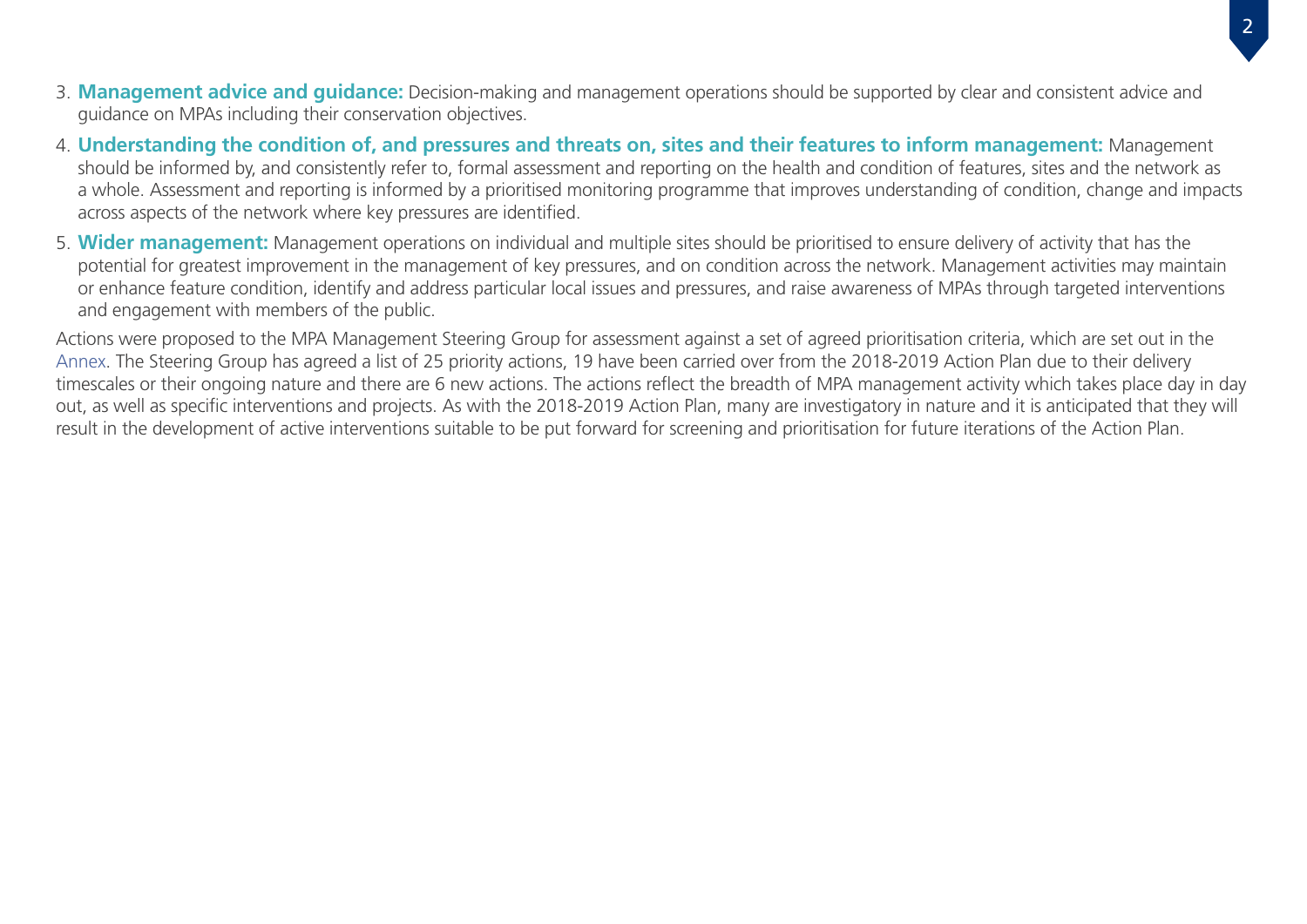- 3. **Management advice and guidance:** Decision-making and management operations should be supported by clear and consistent advice and guidance on MPAs including their conservation objectives.
- 4. **Understanding the condition of, and pressures and threats on, sites and their features to inform management:** Management should be informed by, and consistently refer to, formal assessment and reporting on the health and condition of features, sites and the network as a whole. Assessment and reporting is informed by a prioritised monitoring programme that improves understanding of condition, change and impacts across aspects of the network where key pressures are identified.
- 5. **Wider management:** Management operations on individual and multiple sites should be prioritised to ensure delivery of activity that has the potential for greatest improvement in the management of key pressures, and on condition across the network. Management activities may maintain or enhance feature condition, identify and address particular local issues and pressures, and raise awareness of MPAs through targeted interventions and engagement with members of the public.

Actions were proposed to the MPA Management Steering Group for assessment against a set of agreed prioritisation criteria, which are set out in the [Annex](#page-24-0). The Steering Group has agreed a list of 25 priority actions, 19 have been carried over from the 2018-2019 Action Plan due to their delivery timescales or their ongoing nature and there are 6 new actions. The actions reflect the breadth of MPA management activity which takes place day in day out, as well as specific interventions and projects. As with the 2018-2019 Action Plan, many are investigatory in nature and it is anticipated that they will result in the development of active interventions suitable to be put forward for screening and prioritisation for future iterations of the Action Plan.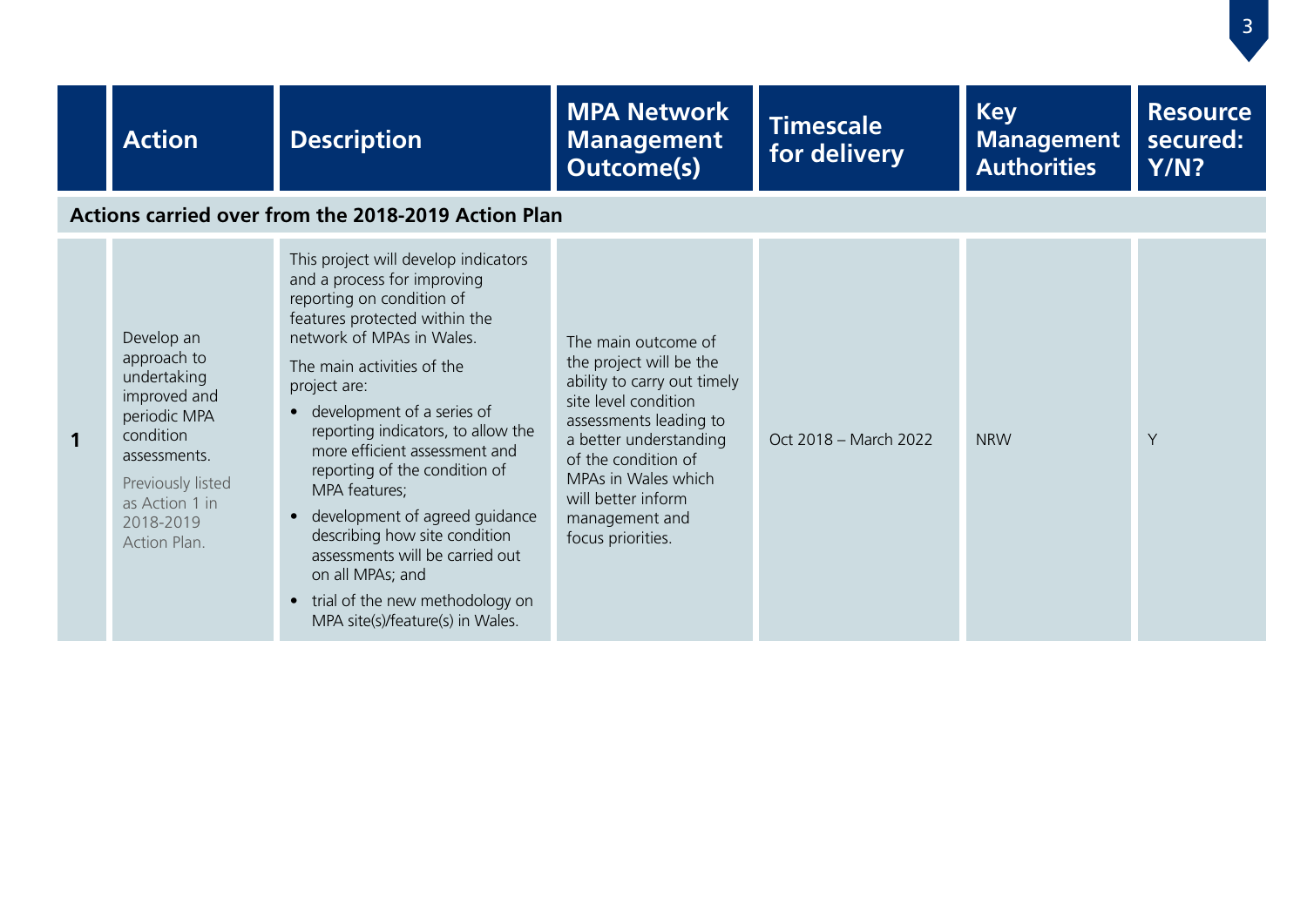|   | <b>Action</b>                                                                                                                                                             | <b>Description</b>                                                                                                                                                                                                                                                                                                                                                                                                                                                                                                                                                                               | <b>MPA Network</b><br><b>Management</b><br><b>Outcome(s)</b>                                                                                                                                                                                                         | <b>Timescale</b><br>for delivery | <b>Key</b><br><b>Management</b><br><b>Authorities</b> | <b>Resource</b><br>secured:<br><b>Y/N?</b> |  |  |  |
|---|---------------------------------------------------------------------------------------------------------------------------------------------------------------------------|--------------------------------------------------------------------------------------------------------------------------------------------------------------------------------------------------------------------------------------------------------------------------------------------------------------------------------------------------------------------------------------------------------------------------------------------------------------------------------------------------------------------------------------------------------------------------------------------------|----------------------------------------------------------------------------------------------------------------------------------------------------------------------------------------------------------------------------------------------------------------------|----------------------------------|-------------------------------------------------------|--------------------------------------------|--|--|--|
|   | Actions carried over from the 2018-2019 Action Plan                                                                                                                       |                                                                                                                                                                                                                                                                                                                                                                                                                                                                                                                                                                                                  |                                                                                                                                                                                                                                                                      |                                  |                                                       |                                            |  |  |  |
| 1 | Develop an<br>approach to<br>undertaking<br>improved and<br>periodic MPA<br>condition<br>assessments.<br>Previously listed<br>as Action 1 in<br>2018-2019<br>Action Plan. | This project will develop indicators<br>and a process for improving<br>reporting on condition of<br>features protected within the<br>network of MPAs in Wales.<br>The main activities of the<br>project are:<br>• development of a series of<br>reporting indicators, to allow the<br>more efficient assessment and<br>reporting of the condition of<br>MPA features;<br>development of agreed guidance<br>$\bullet$<br>describing how site condition<br>assessments will be carried out<br>on all MPAs; and<br>trial of the new methodology on<br>$\bullet$<br>MPA site(s)/feature(s) in Wales. | The main outcome of<br>the project will be the<br>ability to carry out timely<br>site level condition<br>assessments leading to<br>a better understanding<br>of the condition of<br>MPAs in Wales which<br>will better inform<br>management and<br>focus priorities. | Oct 2018 - March 2022            | <b>NRW</b>                                            | Y                                          |  |  |  |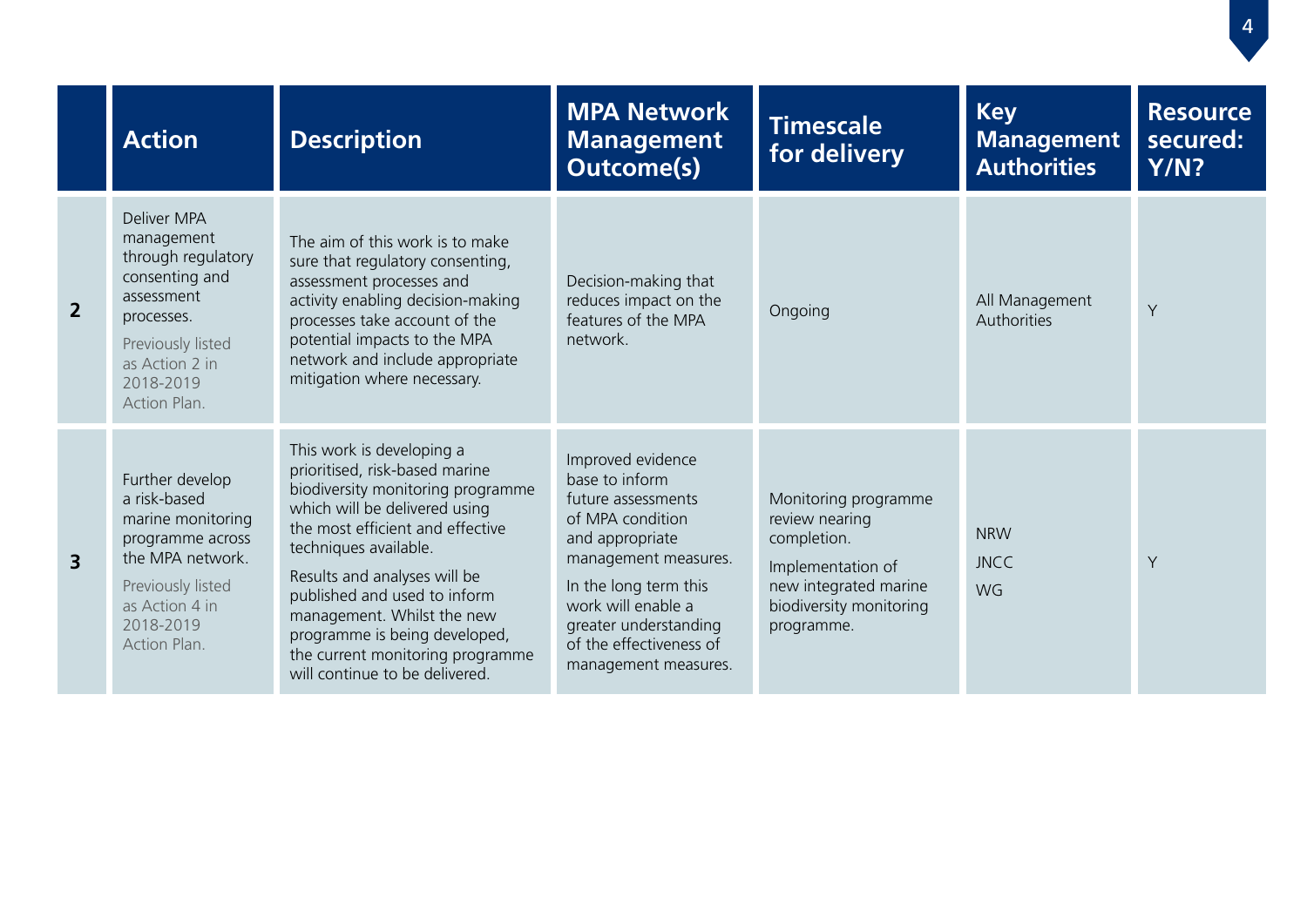|                | <b>Action</b>                                                                                                                                                     | <b>Description</b>                                                                                                                                                                                                                                                                                                                                                                                  | <b>MPA Network</b><br><b>Management</b><br><b>Outcome(s)</b>                                                                                                                                                                                        | <b>Timescale</b><br>for delivery                                                                                                             | <b>Key</b><br><b>Management</b><br><b>Authorities</b> | <b>Resource</b><br>secured:<br>Y/N? |
|----------------|-------------------------------------------------------------------------------------------------------------------------------------------------------------------|-----------------------------------------------------------------------------------------------------------------------------------------------------------------------------------------------------------------------------------------------------------------------------------------------------------------------------------------------------------------------------------------------------|-----------------------------------------------------------------------------------------------------------------------------------------------------------------------------------------------------------------------------------------------------|----------------------------------------------------------------------------------------------------------------------------------------------|-------------------------------------------------------|-------------------------------------|
| $\overline{2}$ | Deliver MPA<br>management<br>through regulatory<br>consenting and<br>assessment<br>processes.<br>Previously listed<br>as Action 2 in<br>2018-2019<br>Action Plan. | The aim of this work is to make<br>sure that regulatory consenting,<br>assessment processes and<br>activity enabling decision-making<br>processes take account of the<br>potential impacts to the MPA<br>network and include appropriate<br>mitigation where necessary.                                                                                                                             | Decision-making that<br>reduces impact on the<br>features of the MPA<br>network.                                                                                                                                                                    | Ongoing                                                                                                                                      | All Management<br>Authorities                         | Y                                   |
| $\overline{3}$ | Further develop<br>a risk-based<br>marine monitoring<br>programme across<br>the MPA network.<br>Previously listed<br>as Action 4 in<br>2018-2019<br>Action Plan.  | This work is developing a<br>prioritised, risk-based marine<br>biodiversity monitoring programme<br>which will be delivered using<br>the most efficient and effective<br>techniques available.<br>Results and analyses will be<br>published and used to inform<br>management. Whilst the new<br>programme is being developed,<br>the current monitoring programme<br>will continue to be delivered. | Improved evidence<br>base to inform<br>future assessments<br>of MPA condition<br>and appropriate<br>management measures.<br>In the long term this<br>work will enable a<br>greater understanding<br>of the effectiveness of<br>management measures. | Monitoring programme<br>review nearing<br>completion.<br>Implementation of<br>new integrated marine<br>biodiversity monitoring<br>programme. | <b>NRW</b><br><b>JNCC</b><br><b>WG</b>                | Y                                   |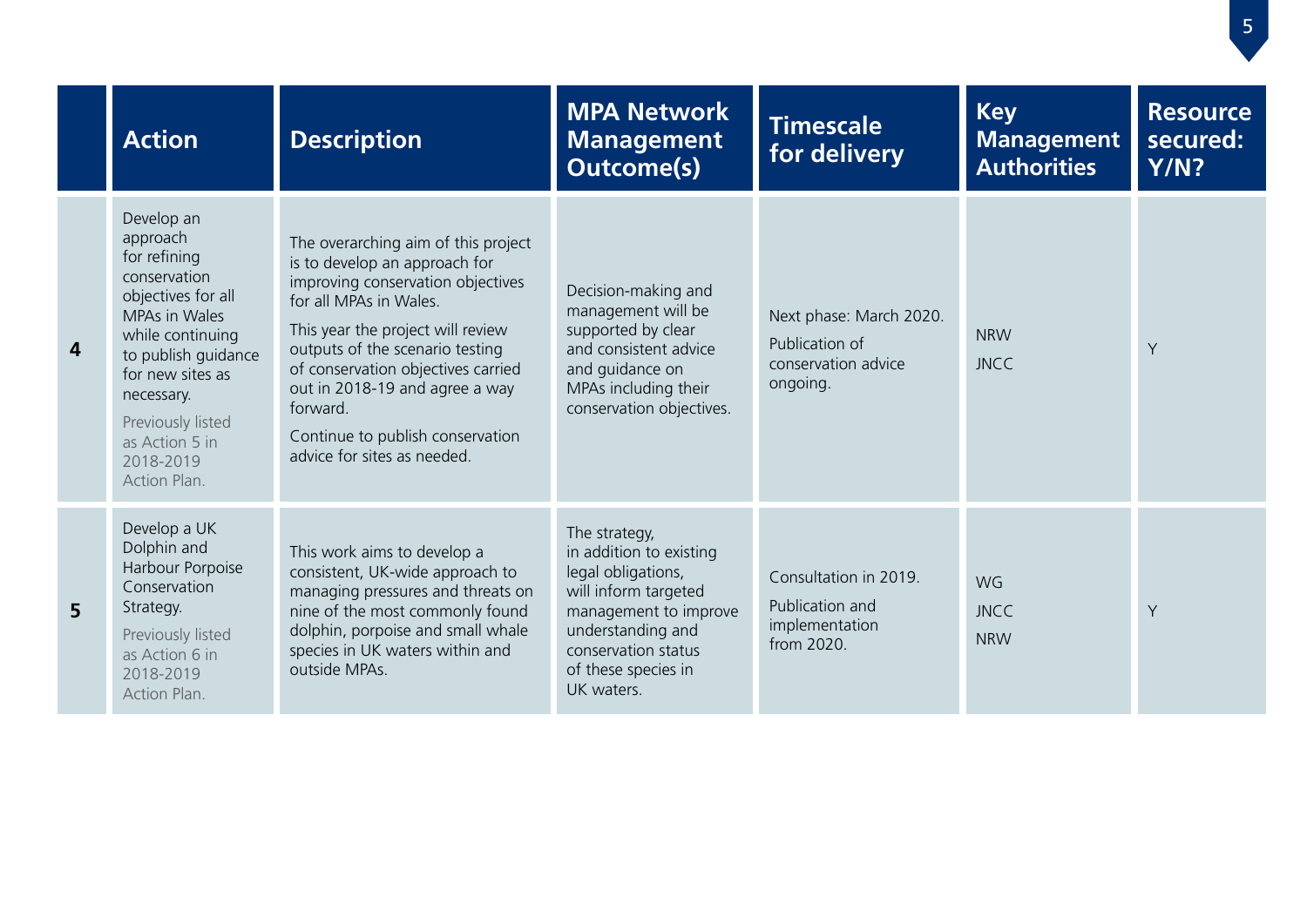|   | <b>Action</b>                                                                                                                                                                                                                                  | <b>Description</b>                                                                                                                                                                                                                                                                                                                                                 | <b>MPA Network</b><br><b>Management</b><br><b>Outcome(s)</b>                                                                                                                                     | <b>Timescale</b><br>for delivery                                             | <b>Key</b><br><b>Management</b><br><b>Authorities</b> | <b>Resource</b><br>secured:<br>Y/N? |
|---|------------------------------------------------------------------------------------------------------------------------------------------------------------------------------------------------------------------------------------------------|--------------------------------------------------------------------------------------------------------------------------------------------------------------------------------------------------------------------------------------------------------------------------------------------------------------------------------------------------------------------|--------------------------------------------------------------------------------------------------------------------------------------------------------------------------------------------------|------------------------------------------------------------------------------|-------------------------------------------------------|-------------------------------------|
| 4 | Develop an<br>approach<br>for refining<br>conservation<br>objectives for all<br>MPAs in Wales<br>while continuing<br>to publish guidance<br>for new sites as<br>necessary.<br>Previously listed<br>as Action 5 in<br>2018-2019<br>Action Plan. | The overarching aim of this project<br>is to develop an approach for<br>improving conservation objectives<br>for all MPAs in Wales.<br>This year the project will review<br>outputs of the scenario testing<br>of conservation objectives carried<br>out in 2018-19 and agree a way<br>forward.<br>Continue to publish conservation<br>advice for sites as needed. | Decision-making and<br>management will be<br>supported by clear<br>and consistent advice<br>and quidance on<br>MPAs including their<br>conservation objectives.                                  | Next phase: March 2020.<br>Publication of<br>conservation advice<br>ongoing. | <b>NRW</b><br><b>JNCC</b>                             | Y                                   |
| 5 | Develop a UK<br>Dolphin and<br>Harbour Porpoise<br>Conservation<br>Strategy.<br>Previously listed<br>as Action 6 in<br>2018-2019<br>Action Plan.                                                                                               | This work aims to develop a<br>consistent, UK-wide approach to<br>managing pressures and threats on<br>nine of the most commonly found<br>dolphin, porpoise and small whale<br>species in UK waters within and<br>outside MPAs.                                                                                                                                    | The strategy,<br>in addition to existing<br>legal obligations,<br>will inform targeted<br>management to improve<br>understanding and<br>conservation status<br>of these species in<br>UK waters. | Consultation in 2019.<br>Publication and<br>implementation<br>from 2020.     | WG<br><b>JNCC</b><br><b>NRW</b>                       | Y                                   |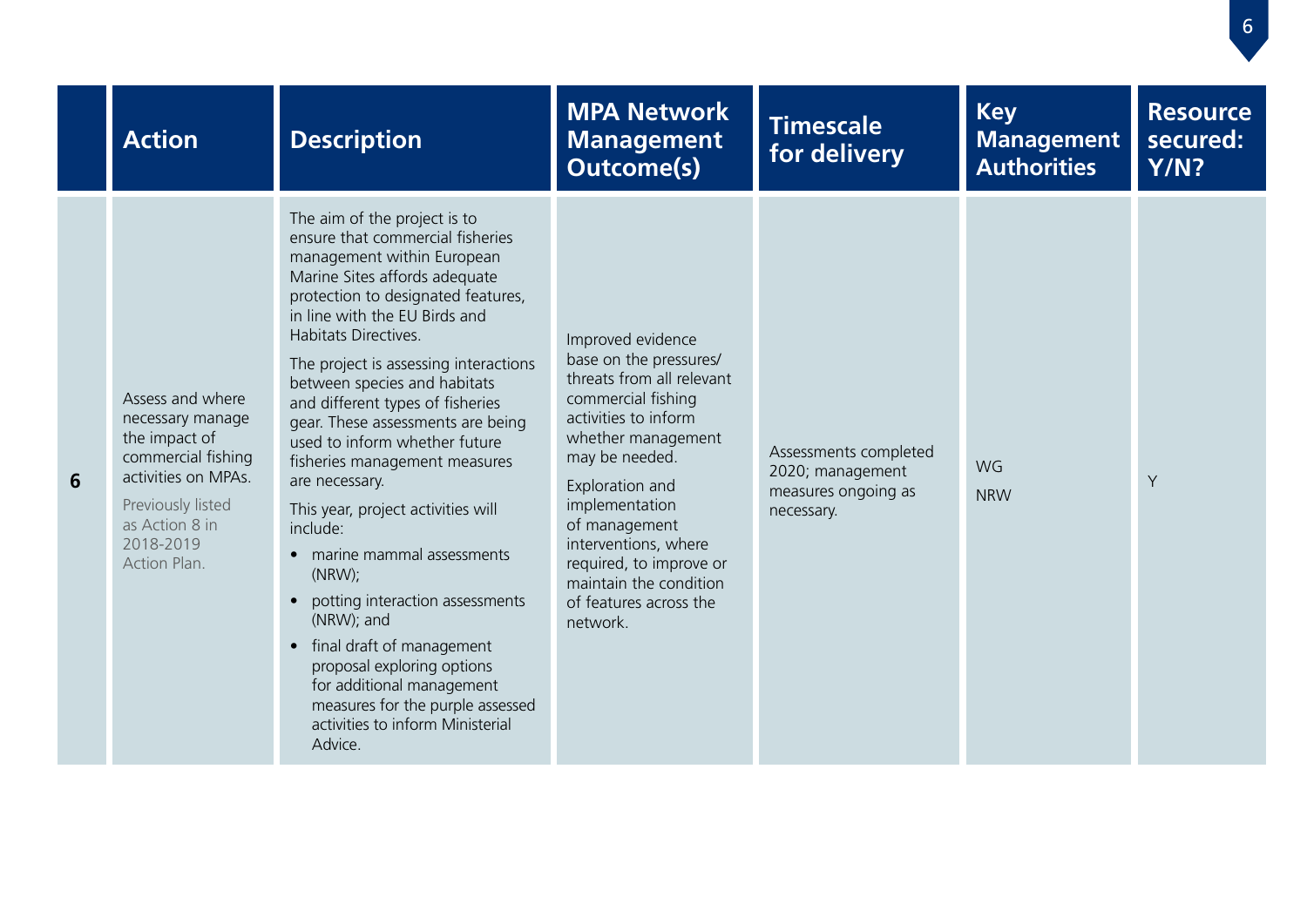|                | <b>Action</b>                                                                                                                                                          | <b>Description</b>                                                                                                                                                                                                                                                                                                                                                                                                                                                                                                                                                                                                                                                                                                                                                                              | <b>MPA Network</b><br><b>Management</b><br><b>Outcome(s)</b>                                                                                                                                                                                                                                                                            | <b>Timescale</b><br>for delivery                                               | <b>Key</b><br><b>Management</b><br><b>Authorities</b> | <b>Resource</b><br>secured:<br><b>Y/N?</b> |
|----------------|------------------------------------------------------------------------------------------------------------------------------------------------------------------------|-------------------------------------------------------------------------------------------------------------------------------------------------------------------------------------------------------------------------------------------------------------------------------------------------------------------------------------------------------------------------------------------------------------------------------------------------------------------------------------------------------------------------------------------------------------------------------------------------------------------------------------------------------------------------------------------------------------------------------------------------------------------------------------------------|-----------------------------------------------------------------------------------------------------------------------------------------------------------------------------------------------------------------------------------------------------------------------------------------------------------------------------------------|--------------------------------------------------------------------------------|-------------------------------------------------------|--------------------------------------------|
| $6\phantom{1}$ | Assess and where<br>necessary manage<br>the impact of<br>commercial fishing<br>activities on MPAs.<br>Previously listed<br>as Action 8 in<br>2018-2019<br>Action Plan. | The aim of the project is to<br>ensure that commercial fisheries<br>management within European<br>Marine Sites affords adequate<br>protection to designated features,<br>in line with the EU Birds and<br>Habitats Directives.<br>The project is assessing interactions<br>between species and habitats<br>and different types of fisheries<br>gear. These assessments are being<br>used to inform whether future<br>fisheries management measures<br>are necessary.<br>This year, project activities will<br>include:<br>• marine mammal assessments<br>(NRW);<br>• potting interaction assessments<br>(NRW); and<br>• final draft of management<br>proposal exploring options<br>for additional management<br>measures for the purple assessed<br>activities to inform Ministerial<br>Advice. | Improved evidence<br>base on the pressures/<br>threats from all relevant<br>commercial fishing<br>activities to inform<br>whether management<br>may be needed.<br>Exploration and<br>implementation<br>of management<br>interventions, where<br>required, to improve or<br>maintain the condition<br>of features across the<br>network. | Assessments completed<br>2020; management<br>measures ongoing as<br>necessary. | WG<br><b>NRW</b>                                      | Y                                          |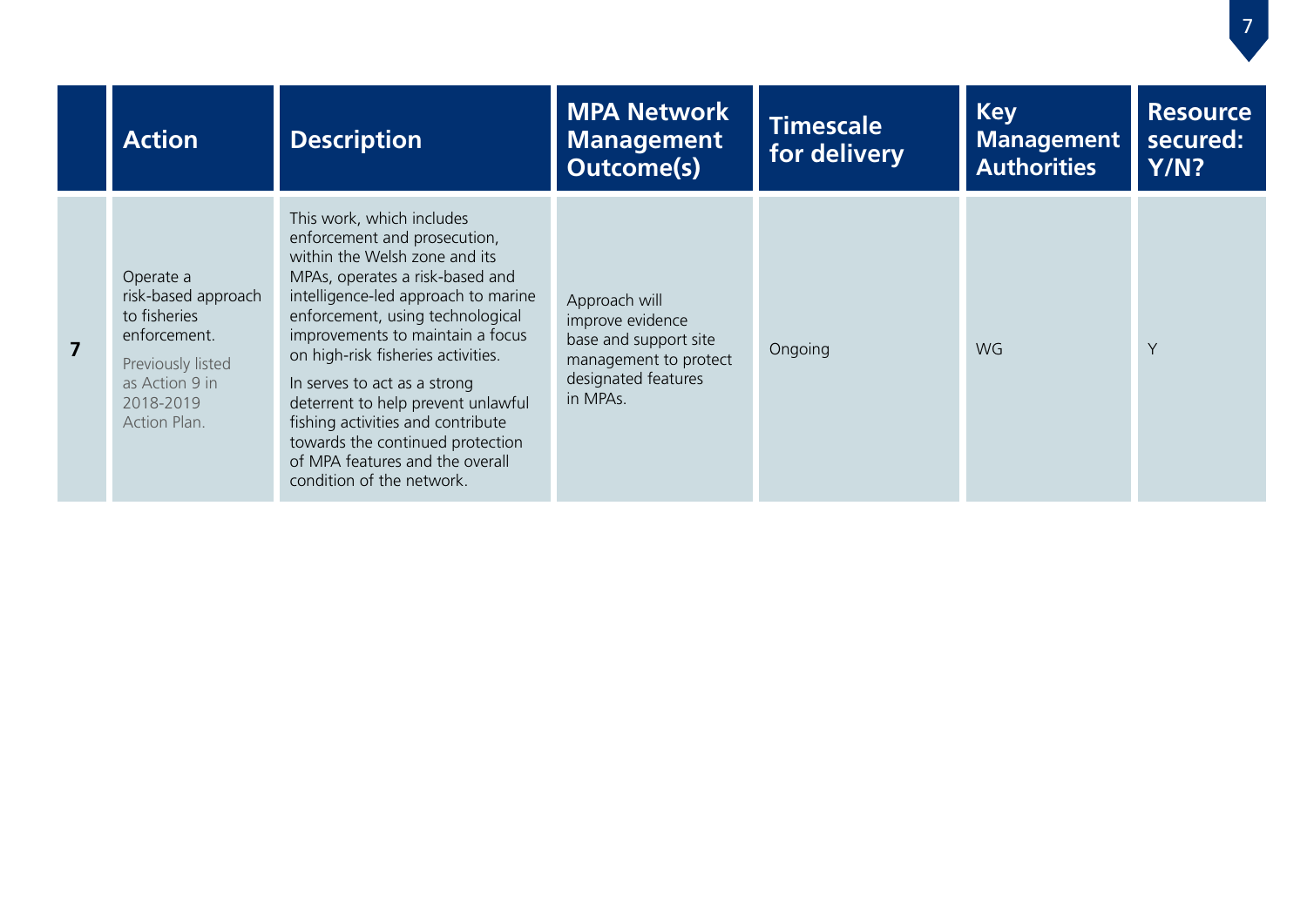|                         | <b>Action</b>                                                                                                                        | <b>Description</b>                                                                                                                                                                                                                                                                                                                                                                                                                                                                                | <b>MPA Network</b><br><b>Management</b><br><b>Outcome(s)</b>                                                           | <b>Timescale</b><br>for delivery | <b>Key</b><br><b>Management</b><br><b>Authorities</b> | <b>Resource</b><br>secured:<br>Y/N? |
|-------------------------|--------------------------------------------------------------------------------------------------------------------------------------|---------------------------------------------------------------------------------------------------------------------------------------------------------------------------------------------------------------------------------------------------------------------------------------------------------------------------------------------------------------------------------------------------------------------------------------------------------------------------------------------------|------------------------------------------------------------------------------------------------------------------------|----------------------------------|-------------------------------------------------------|-------------------------------------|
| $\overline{\mathbf{z}}$ | Operate a<br>risk-based approach<br>to fisheries<br>enforcement.<br>Previously listed<br>as Action 9 in<br>2018-2019<br>Action Plan. | This work, which includes<br>enforcement and prosecution,<br>within the Welsh zone and its<br>MPAs, operates a risk-based and<br>intelligence-led approach to marine<br>enforcement, using technological<br>improvements to maintain a focus<br>on high-risk fisheries activities.<br>In serves to act as a strong<br>deterrent to help prevent unlawful<br>fishing activities and contribute<br>towards the continued protection<br>of MPA features and the overall<br>condition of the network. | Approach will<br>improve evidence<br>base and support site<br>management to protect<br>designated features<br>in MPAs. | Ongoing                          | WG                                                    | Y                                   |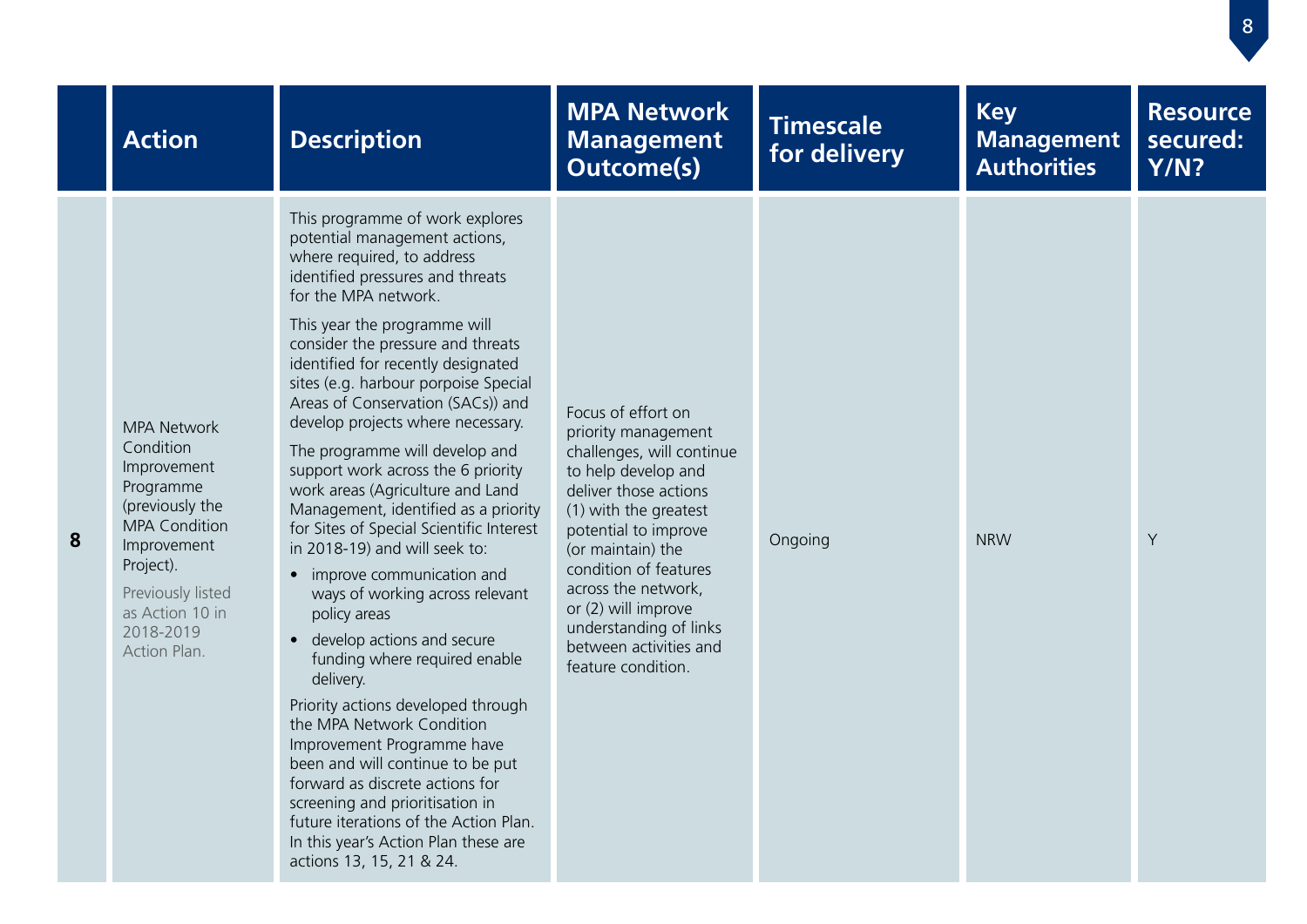|   | <b>Action</b>                                                                                                                                                                                           | <b>Description</b>                                                                                                                                                                                                                                                                                                                                                                                                                                                                                                                                                                                                                                                                                                                                                                                                                                                                                                                                                                                                                                                                                             | <b>MPA Network</b><br><b>Management</b><br><b>Outcome(s)</b>                                                                                                                                                                                                                                                                                  | <b>Timescale</b><br>for delivery | <b>Key</b><br><b>Management</b><br><b>Authorities</b> | <b>Resource</b><br>secured:<br><b>Y/N?</b> |
|---|---------------------------------------------------------------------------------------------------------------------------------------------------------------------------------------------------------|----------------------------------------------------------------------------------------------------------------------------------------------------------------------------------------------------------------------------------------------------------------------------------------------------------------------------------------------------------------------------------------------------------------------------------------------------------------------------------------------------------------------------------------------------------------------------------------------------------------------------------------------------------------------------------------------------------------------------------------------------------------------------------------------------------------------------------------------------------------------------------------------------------------------------------------------------------------------------------------------------------------------------------------------------------------------------------------------------------------|-----------------------------------------------------------------------------------------------------------------------------------------------------------------------------------------------------------------------------------------------------------------------------------------------------------------------------------------------|----------------------------------|-------------------------------------------------------|--------------------------------------------|
| 8 | <b>MPA Network</b><br>Condition<br>Improvement<br>Programme<br>(previously the<br><b>MPA Condition</b><br>Improvement<br>Project).<br>Previously listed<br>as Action 10 in<br>2018-2019<br>Action Plan. | This programme of work explores<br>potential management actions,<br>where required, to address<br>identified pressures and threats<br>for the MPA network.<br>This year the programme will<br>consider the pressure and threats<br>identified for recently designated<br>sites (e.g. harbour porpoise Special<br>Areas of Conservation (SACs)) and<br>develop projects where necessary.<br>The programme will develop and<br>support work across the 6 priority<br>work areas (Agriculture and Land<br>Management, identified as a priority<br>for Sites of Special Scientific Interest<br>in 2018-19) and will seek to:<br>• improve communication and<br>ways of working across relevant<br>policy areas<br>develop actions and secure<br>funding where required enable<br>delivery.<br>Priority actions developed through<br>the MPA Network Condition<br>Improvement Programme have<br>been and will continue to be put<br>forward as discrete actions for<br>screening and prioritisation in<br>future iterations of the Action Plan.<br>In this year's Action Plan these are<br>actions 13, 15, 21 & 24. | Focus of effort on<br>priority management<br>challenges, will continue<br>to help develop and<br>deliver those actions<br>(1) with the greatest<br>potential to improve<br>(or maintain) the<br>condition of features<br>across the network,<br>or (2) will improve<br>understanding of links<br>between activities and<br>feature condition. | Ongoing                          | <b>NRW</b>                                            | Y                                          |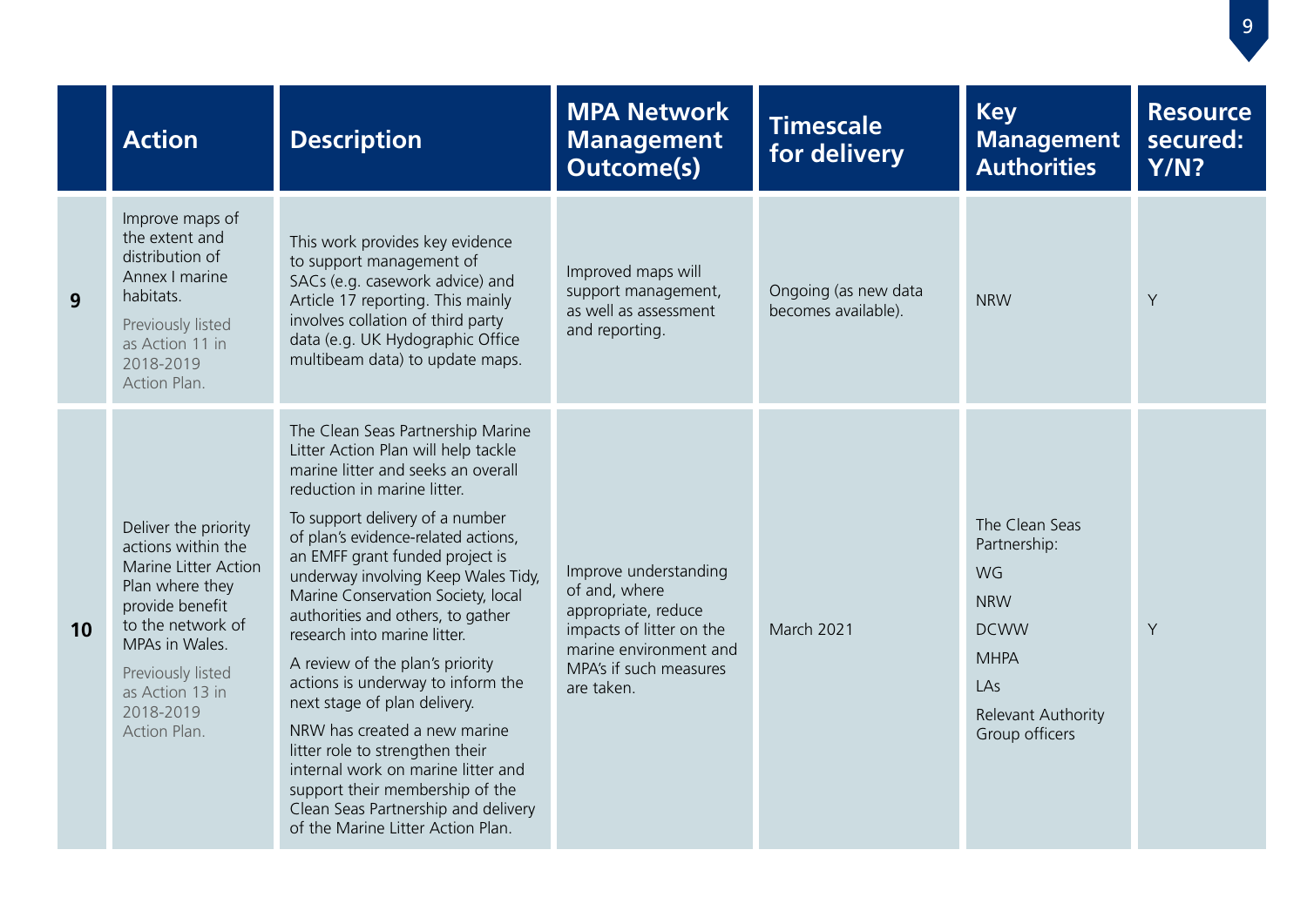|    | <b>Action</b>                                                                                                                                                                                                        | <b>Description</b>                                                                                                                                                                                                                                                                                                                                                                                                                                                                                                                                                                                                                                                                                                                           | <b>MPA Network</b><br><b>Management</b><br><b>Outcome(s)</b>                                                                                                | <b>Timescale</b><br>for delivery            | <b>Key</b><br><b>Management</b><br><b>Authorities</b>                                                                           | <b>Resource</b><br>secured:<br><b>Y/N?</b> |
|----|----------------------------------------------------------------------------------------------------------------------------------------------------------------------------------------------------------------------|----------------------------------------------------------------------------------------------------------------------------------------------------------------------------------------------------------------------------------------------------------------------------------------------------------------------------------------------------------------------------------------------------------------------------------------------------------------------------------------------------------------------------------------------------------------------------------------------------------------------------------------------------------------------------------------------------------------------------------------------|-------------------------------------------------------------------------------------------------------------------------------------------------------------|---------------------------------------------|---------------------------------------------------------------------------------------------------------------------------------|--------------------------------------------|
| 9  | Improve maps of<br>the extent and<br>distribution of<br>Annex I marine<br>habitats.<br>Previously listed<br>as Action 11 in<br>2018-2019<br>Action Plan.                                                             | This work provides key evidence<br>to support management of<br>SACs (e.g. casework advice) and<br>Article 17 reporting. This mainly<br>involves collation of third party<br>data (e.g. UK Hydographic Office<br>multibeam data) to update maps.                                                                                                                                                                                                                                                                                                                                                                                                                                                                                              | Improved maps will<br>support management,<br>as well as assessment<br>and reporting.                                                                        | Ongoing (as new data<br>becomes available). | <b>NRW</b>                                                                                                                      | Y                                          |
| 10 | Deliver the priority<br>actions within the<br>Marine Litter Action<br>Plan where they<br>provide benefit<br>to the network of<br>MPAs in Wales.<br>Previously listed<br>as Action 13 in<br>2018-2019<br>Action Plan. | The Clean Seas Partnership Marine<br>Litter Action Plan will help tackle<br>marine litter and seeks an overall<br>reduction in marine litter.<br>To support delivery of a number<br>of plan's evidence-related actions,<br>an EMFF grant funded project is<br>underway involving Keep Wales Tidy,<br>Marine Conservation Society, local<br>authorities and others, to gather<br>research into marine litter.<br>A review of the plan's priority<br>actions is underway to inform the<br>next stage of plan delivery.<br>NRW has created a new marine<br>litter role to strengthen their<br>internal work on marine litter and<br>support their membership of the<br>Clean Seas Partnership and delivery<br>of the Marine Litter Action Plan. | Improve understanding<br>of and, where<br>appropriate, reduce<br>impacts of litter on the<br>marine environment and<br>MPA's if such measures<br>are taken. | <b>March 2021</b>                           | The Clean Seas<br>Partnership:<br>WG<br><b>NRW</b><br><b>DCWW</b><br><b>MHPA</b><br>LAs<br>Relevant Authority<br>Group officers | Y                                          |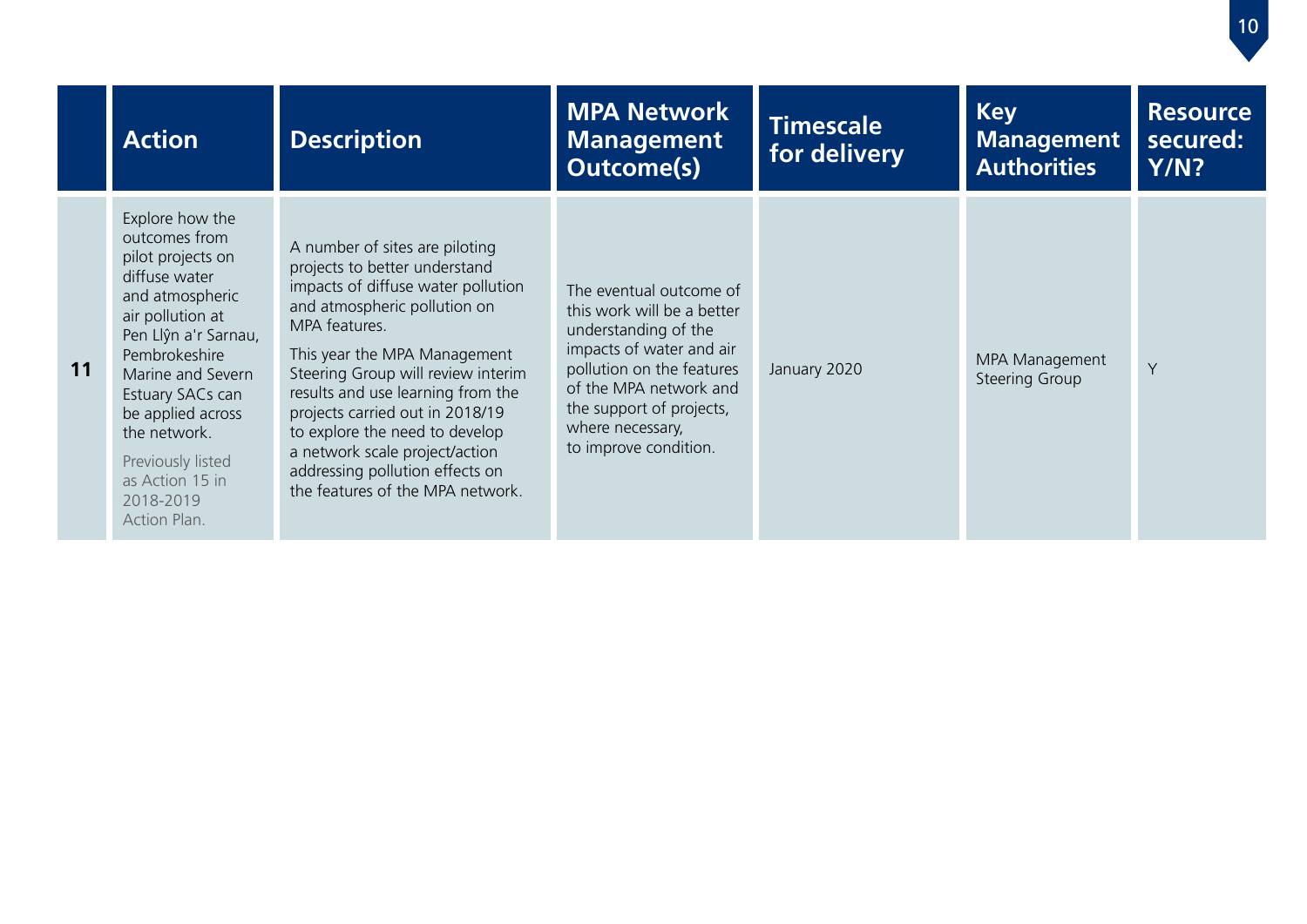|    | <b>Action</b>                                                                                                                                                                                                                                                                                             | <b>Description</b>                                                                                                                                                                                                                                                                                                                                                                                                                              | <b>MPA Network</b><br><b>Management</b><br><b>Outcome(s)</b>                                                                                                                                                                              | <b>Timescale</b><br>for delivery | <b>Key</b><br><b>Management</b><br><b>Authorities</b> | <b>Resource</b><br>secured:<br>Y/N? |
|----|-----------------------------------------------------------------------------------------------------------------------------------------------------------------------------------------------------------------------------------------------------------------------------------------------------------|-------------------------------------------------------------------------------------------------------------------------------------------------------------------------------------------------------------------------------------------------------------------------------------------------------------------------------------------------------------------------------------------------------------------------------------------------|-------------------------------------------------------------------------------------------------------------------------------------------------------------------------------------------------------------------------------------------|----------------------------------|-------------------------------------------------------|-------------------------------------|
| 11 | Explore how the<br>outcomes from<br>pilot projects on<br>diffuse water<br>and atmospheric<br>air pollution at<br>Pen Llŷn a'r Sarnau,<br>Pembrokeshire<br>Marine and Severn<br>Estuary SACs can<br>be applied across<br>the network.<br>Previously listed<br>as Action 15 in<br>2018-2019<br>Action Plan. | A number of sites are piloting<br>projects to better understand<br>impacts of diffuse water pollution<br>and atmospheric pollution on<br>MPA features.<br>This year the MPA Management<br>Steering Group will review interim<br>results and use learning from the<br>projects carried out in 2018/19<br>to explore the need to develop<br>a network scale project/action<br>addressing pollution effects on<br>the features of the MPA network. | The eventual outcome of<br>this work will be a better<br>understanding of the<br>impacts of water and air<br>pollution on the features<br>of the MPA network and<br>the support of projects,<br>where necessary,<br>to improve condition. | January 2020                     | MPA Management<br><b>Steering Group</b>               | Y                                   |

 $\boxed{10}$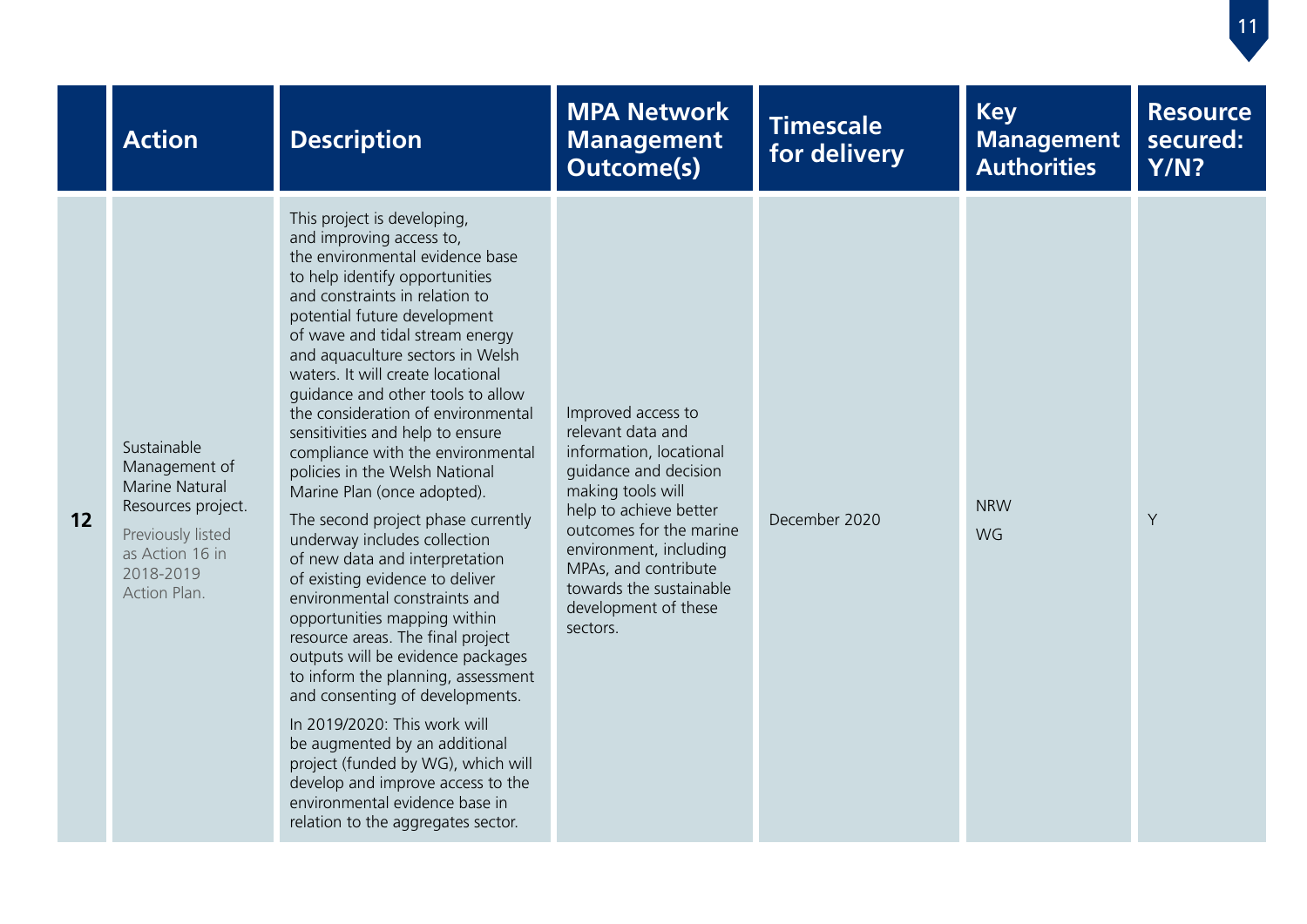|    | <b>Action</b>                                                                                                                                    | <b>Description</b>                                                                                                                                                                                                                                                                                                                                                                                                                                                                                                                                                                                                                                                                                                                                                                                                                                                                                                                                                                                                                                                                                                 | <b>MPA Network</b><br><b>Management</b><br><b>Outcome(s)</b>                                                                                                                                                                                                                           | <b>Timescale</b><br>for delivery | <b>Key</b><br><b>Management</b><br><b>Authorities</b> | <b>Resource</b><br>secured:<br><b>Y/N?</b> |
|----|--------------------------------------------------------------------------------------------------------------------------------------------------|--------------------------------------------------------------------------------------------------------------------------------------------------------------------------------------------------------------------------------------------------------------------------------------------------------------------------------------------------------------------------------------------------------------------------------------------------------------------------------------------------------------------------------------------------------------------------------------------------------------------------------------------------------------------------------------------------------------------------------------------------------------------------------------------------------------------------------------------------------------------------------------------------------------------------------------------------------------------------------------------------------------------------------------------------------------------------------------------------------------------|----------------------------------------------------------------------------------------------------------------------------------------------------------------------------------------------------------------------------------------------------------------------------------------|----------------------------------|-------------------------------------------------------|--------------------------------------------|
| 12 | Sustainable<br>Management of<br><b>Marine Natural</b><br>Resources project.<br>Previously listed<br>as Action 16 in<br>2018-2019<br>Action Plan. | This project is developing,<br>and improving access to,<br>the environmental evidence base<br>to help identify opportunities<br>and constraints in relation to<br>potential future development<br>of wave and tidal stream energy<br>and aquaculture sectors in Welsh<br>waters. It will create locational<br>quidance and other tools to allow<br>the consideration of environmental<br>sensitivities and help to ensure<br>compliance with the environmental<br>policies in the Welsh National<br>Marine Plan (once adopted).<br>The second project phase currently<br>underway includes collection<br>of new data and interpretation<br>of existing evidence to deliver<br>environmental constraints and<br>opportunities mapping within<br>resource areas. The final project<br>outputs will be evidence packages<br>to inform the planning, assessment<br>and consenting of developments.<br>In 2019/2020: This work will<br>be augmented by an additional<br>project (funded by WG), which will<br>develop and improve access to the<br>environmental evidence base in<br>relation to the aggregates sector. | Improved access to<br>relevant data and<br>information, locational<br>guidance and decision<br>making tools will<br>help to achieve better<br>outcomes for the marine<br>environment, including<br>MPAs, and contribute<br>towards the sustainable<br>development of these<br>sectors. | December 2020                    | <b>NRW</b><br>WG                                      | Y                                          |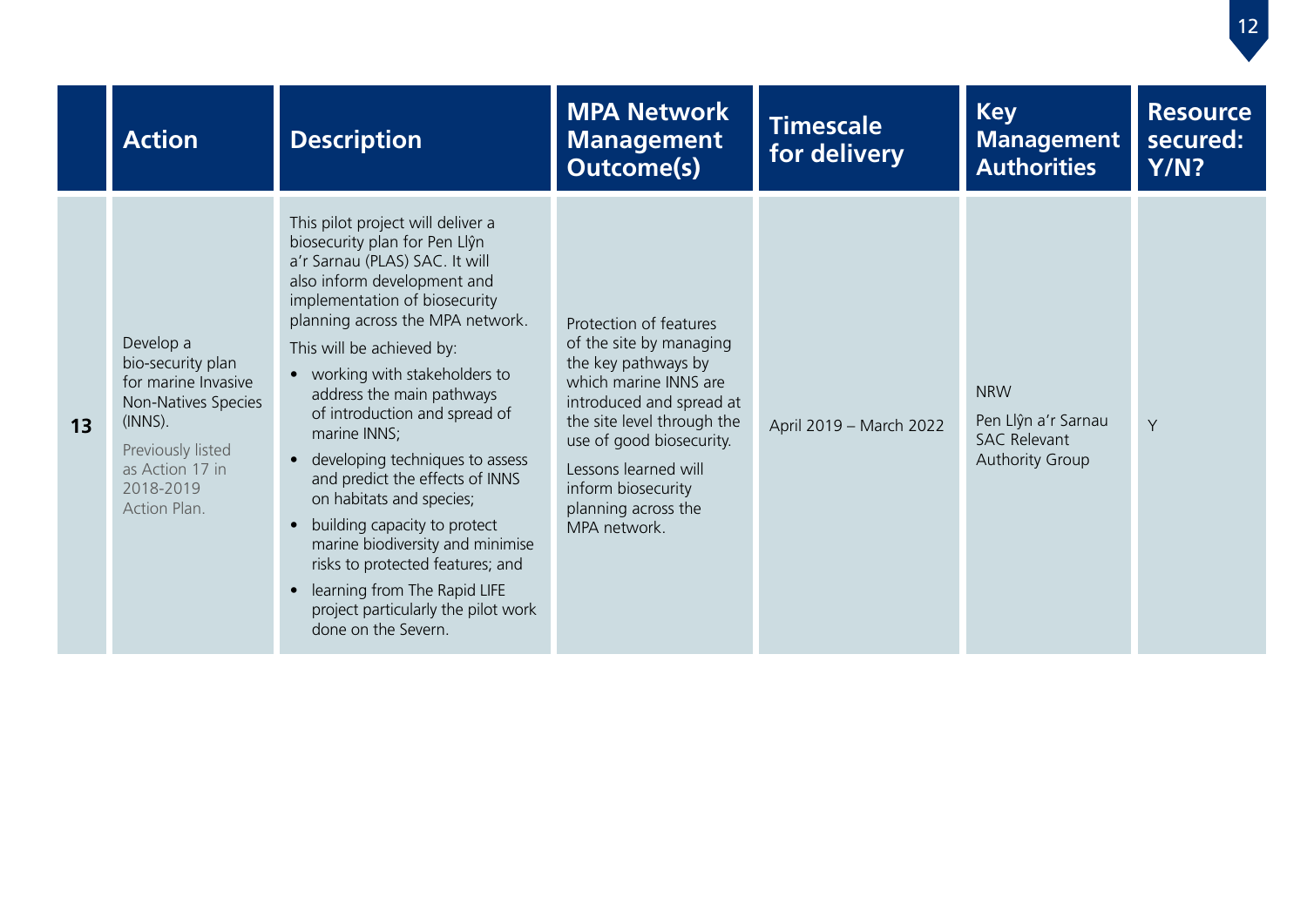|    | <b>Action</b>                                                                                                                                                   | <b>Description</b>                                                                                                                                                                                                                                                                                                                                                                                                                                                                                                                                                                                                                                                         | <b>MPA Network</b><br><b>Management</b><br><b>Outcome(s)</b>                                                                                                                                                                                                                 | <b>Timescale</b><br>for delivery | <b>Key</b><br><b>Management</b><br><b>Authorities</b>                              | <b>Resource</b><br>secured:<br>Y/N? |
|----|-----------------------------------------------------------------------------------------------------------------------------------------------------------------|----------------------------------------------------------------------------------------------------------------------------------------------------------------------------------------------------------------------------------------------------------------------------------------------------------------------------------------------------------------------------------------------------------------------------------------------------------------------------------------------------------------------------------------------------------------------------------------------------------------------------------------------------------------------------|------------------------------------------------------------------------------------------------------------------------------------------------------------------------------------------------------------------------------------------------------------------------------|----------------------------------|------------------------------------------------------------------------------------|-------------------------------------|
| 13 | Develop a<br>bio-security plan<br>for marine Invasive<br>Non-Natives Species<br>$(INNS)$ .<br>Previously listed<br>as Action 17 in<br>2018-2019<br>Action Plan. | This pilot project will deliver a<br>biosecurity plan for Pen Llŷn<br>a'r Sarnau (PLAS) SAC. It will<br>also inform development and<br>implementation of biosecurity<br>planning across the MPA network.<br>This will be achieved by:<br>• working with stakeholders to<br>address the main pathways<br>of introduction and spread of<br>marine INNS;<br>developing techniques to assess<br>and predict the effects of INNS<br>on habitats and species;<br>building capacity to protect<br>$\bullet$<br>marine biodiversity and minimise<br>risks to protected features; and<br>learning from The Rapid LIFE<br>project particularly the pilot work<br>done on the Severn. | Protection of features<br>of the site by managing<br>the key pathways by<br>which marine INNS are<br>introduced and spread at<br>the site level through the<br>use of good biosecurity.<br>Lessons learned will<br>inform biosecurity<br>planning across the<br>MPA network. | April 2019 - March 2022          | <b>NRW</b><br>Pen Llŷn a'r Sarnau<br><b>SAC Relevant</b><br><b>Authority Group</b> | Y                                   |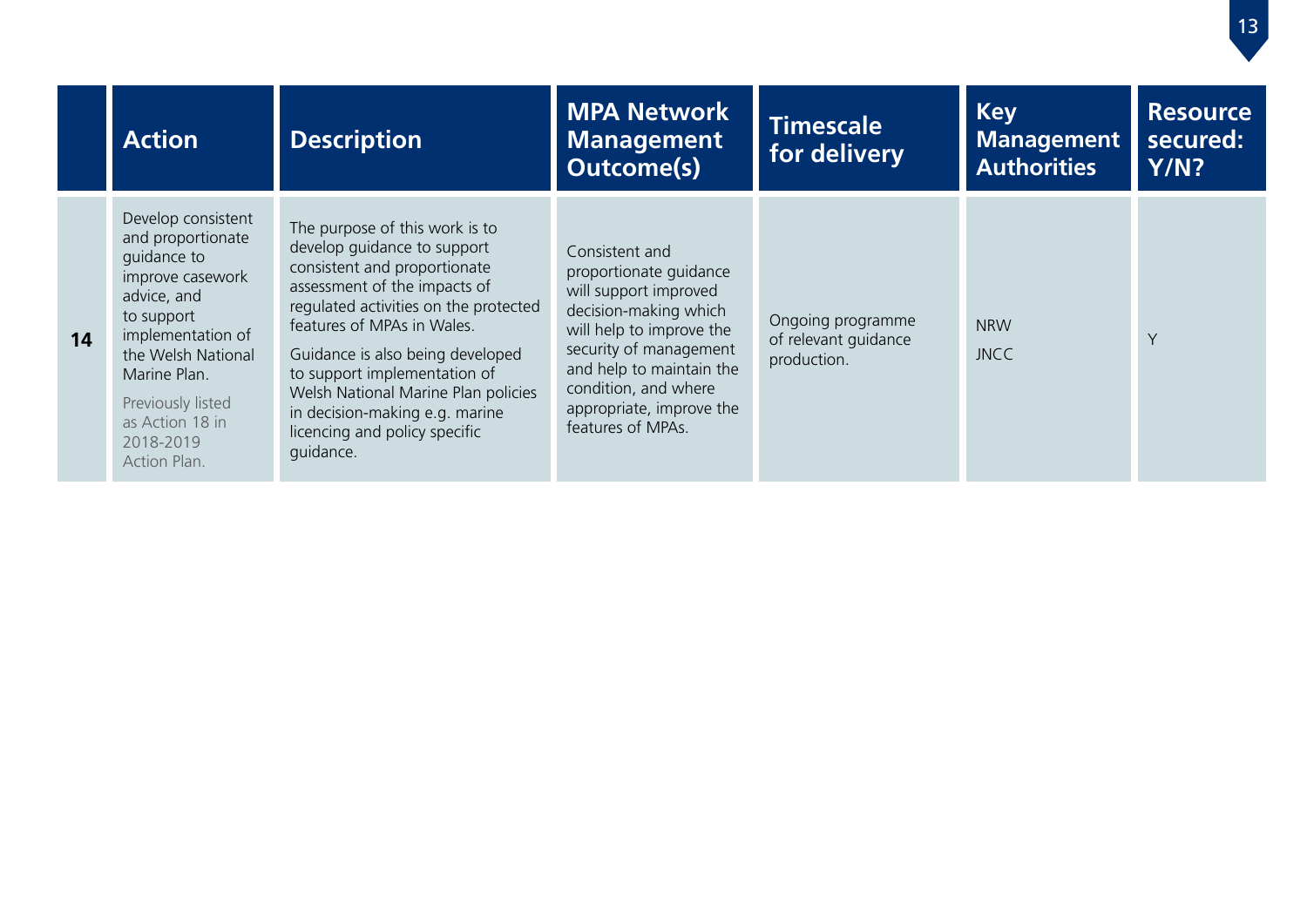|    | <b>Action</b>                                                                                                                                                                                                                           | <b>Description</b>                                                                                                                                                                                                                                                                                                                                                                              | <b>MPA Network</b><br><b>Management</b><br><b>Outcome(s)</b>                                                                                                                                                                                          | <b>Timescale</b><br>for delivery                         | <b>Key</b><br><b>Management</b><br><b>Authorities</b> | <b>Resource</b><br>secured:<br>Y/N? |
|----|-----------------------------------------------------------------------------------------------------------------------------------------------------------------------------------------------------------------------------------------|-------------------------------------------------------------------------------------------------------------------------------------------------------------------------------------------------------------------------------------------------------------------------------------------------------------------------------------------------------------------------------------------------|-------------------------------------------------------------------------------------------------------------------------------------------------------------------------------------------------------------------------------------------------------|----------------------------------------------------------|-------------------------------------------------------|-------------------------------------|
| 14 | Develop consistent<br>and proportionate<br>quidance to<br>improve casework<br>advice, and<br>to support<br>implementation of<br>the Welsh National<br>Marine Plan.<br>Previously listed<br>as Action 18 in<br>2018-2019<br>Action Plan. | The purpose of this work is to<br>develop quidance to support<br>consistent and proportionate<br>assessment of the impacts of<br>regulated activities on the protected<br>features of MPAs in Wales.<br>Guidance is also being developed<br>to support implementation of<br>Welsh National Marine Plan policies<br>in decision-making e.g. marine<br>licencing and policy specific<br>guidance. | Consistent and<br>proportionate guidance<br>will support improved<br>decision-making which<br>will help to improve the<br>security of management<br>and help to maintain the<br>condition, and where<br>appropriate, improve the<br>features of MPAs. | Ongoing programme<br>of relevant guidance<br>production. | <b>NRW</b><br><b>JNCC</b>                             | Y                                   |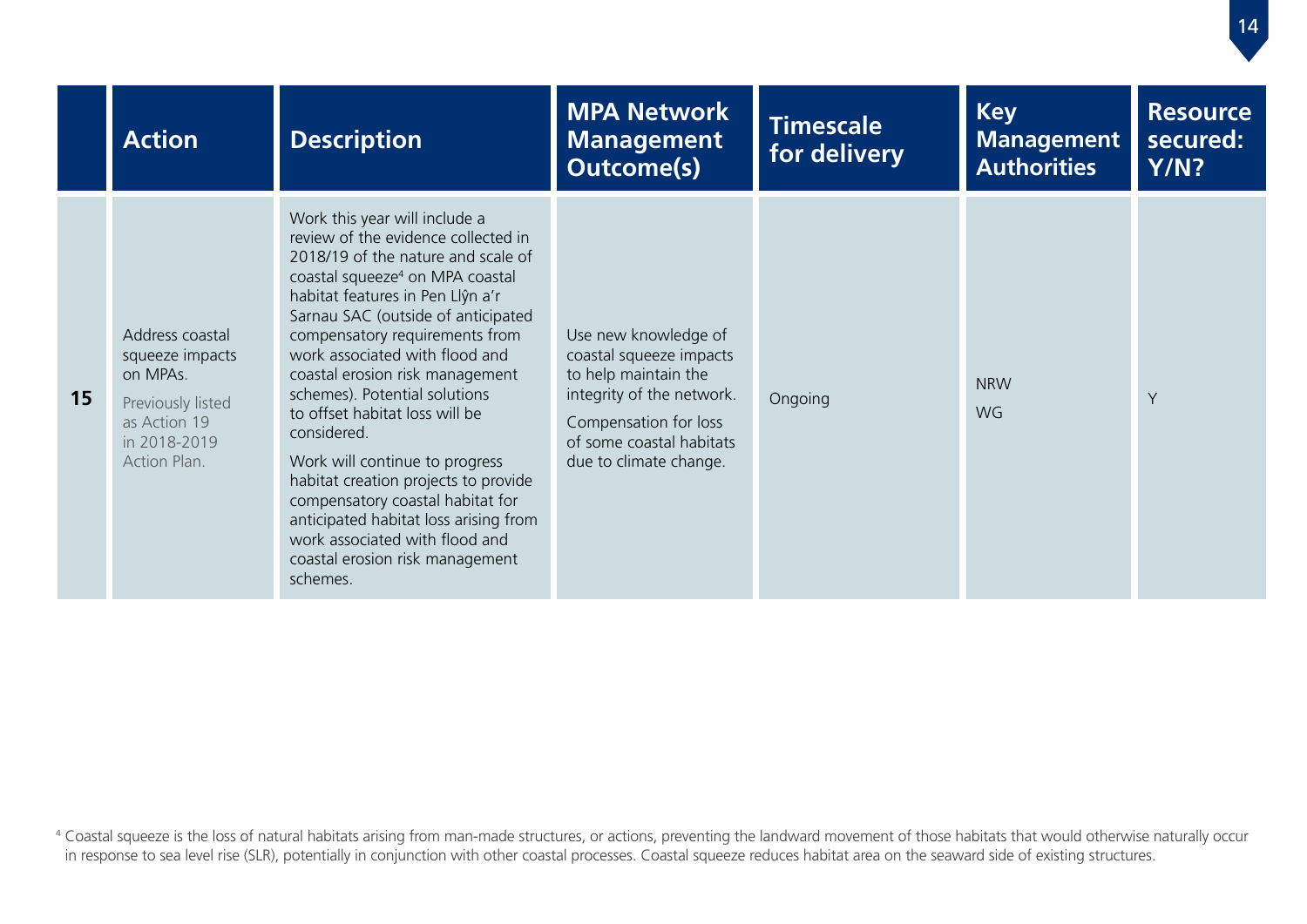|    | <b>Action</b>                                                                                                       | <b>Description</b>                                                                                                                                                                                                                                                                                                                                                                                                                                                                                                                                                                                                                                                   | <b>MPA Network</b><br><b>Management</b><br><b>Outcome(s)</b>                                                                                                                        | <b>Timescale</b><br>for delivery | <b>Key</b><br><b>Management</b><br><b>Authorities</b> | <b>Resource</b><br>secured:<br>Y/N? |
|----|---------------------------------------------------------------------------------------------------------------------|----------------------------------------------------------------------------------------------------------------------------------------------------------------------------------------------------------------------------------------------------------------------------------------------------------------------------------------------------------------------------------------------------------------------------------------------------------------------------------------------------------------------------------------------------------------------------------------------------------------------------------------------------------------------|-------------------------------------------------------------------------------------------------------------------------------------------------------------------------------------|----------------------------------|-------------------------------------------------------|-------------------------------------|
| 15 | Address coastal<br>squeeze impacts<br>on MPAs.<br>Previously listed<br>as Action 19<br>in 2018-2019<br>Action Plan. | Work this year will include a<br>review of the evidence collected in<br>2018/19 of the nature and scale of<br>coastal squeeze <sup>4</sup> on MPA coastal<br>habitat features in Pen Llŷn a'r<br>Sarnau SAC (outside of anticipated<br>compensatory requirements from<br>work associated with flood and<br>coastal erosion risk management<br>schemes). Potential solutions<br>to offset habitat loss will be<br>considered.<br>Work will continue to progress<br>habitat creation projects to provide<br>compensatory coastal habitat for<br>anticipated habitat loss arising from<br>work associated with flood and<br>coastal erosion risk management<br>schemes. | Use new knowledge of<br>coastal squeeze impacts<br>to help maintain the<br>integrity of the network.<br>Compensation for loss<br>of some coastal habitats<br>due to climate change. | Ongoing                          | <b>NRW</b><br><b>WG</b>                               | Y                                   |

<sup>4</sup> Coastal squeeze is the loss of natural habitats arising from man-made structures, or actions, preventing the landward movement of those habitats that would otherwise naturally occur in response to sea level rise (SLR), potentially in conjunction with other coastal processes. Coastal squeeze reduces habitat area on the seaward side of existing structures.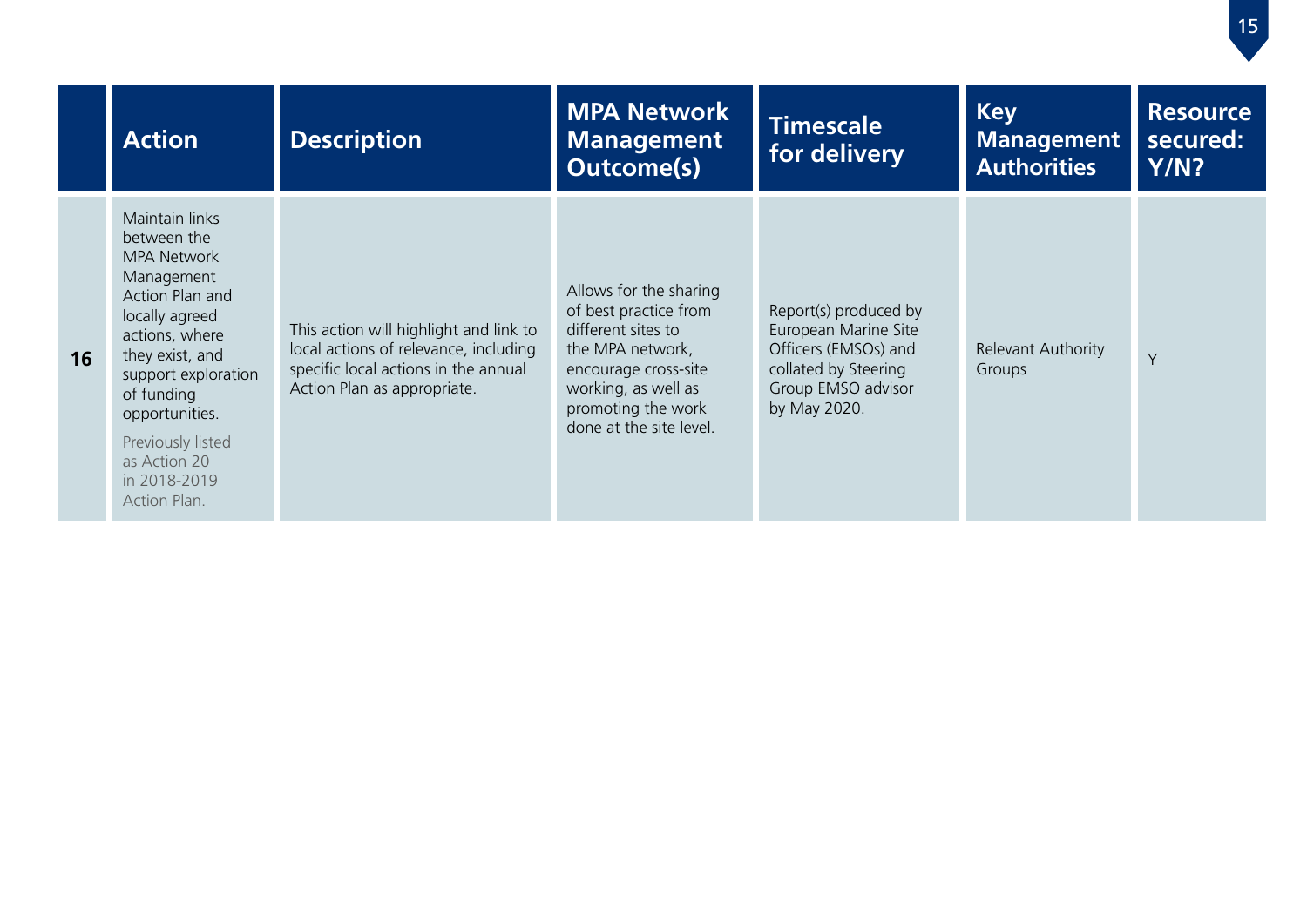|    | <b>Action</b>                                                                                                                                                                                                                                                           | <b>Description</b>                                                                                                                                     | <b>MPA Network</b><br><b>Management</b><br><b>Outcome(s)</b>                                                                                                                              | <b>Timescale</b><br>for delivery                                                                                                    | <b>Key</b><br><b>Management</b><br><b>Authorities</b> | <b>Resource</b><br>secured:<br>Y/N? |
|----|-------------------------------------------------------------------------------------------------------------------------------------------------------------------------------------------------------------------------------------------------------------------------|--------------------------------------------------------------------------------------------------------------------------------------------------------|-------------------------------------------------------------------------------------------------------------------------------------------------------------------------------------------|-------------------------------------------------------------------------------------------------------------------------------------|-------------------------------------------------------|-------------------------------------|
| 16 | Maintain links<br>between the<br><b>MPA Network</b><br>Management<br>Action Plan and<br>locally agreed<br>actions, where<br>they exist, and<br>support exploration<br>of funding<br>opportunities.<br>Previously listed<br>as Action 20<br>in 2018-2019<br>Action Plan. | This action will highlight and link to<br>local actions of relevance, including<br>specific local actions in the annual<br>Action Plan as appropriate. | Allows for the sharing<br>of best practice from<br>different sites to<br>the MPA network,<br>encourage cross-site<br>working, as well as<br>promoting the work<br>done at the site level. | Report(s) produced by<br>European Marine Site<br>Officers (EMSOs) and<br>collated by Steering<br>Group EMSO advisor<br>by May 2020. | Relevant Authority<br>Groups                          | Y                                   |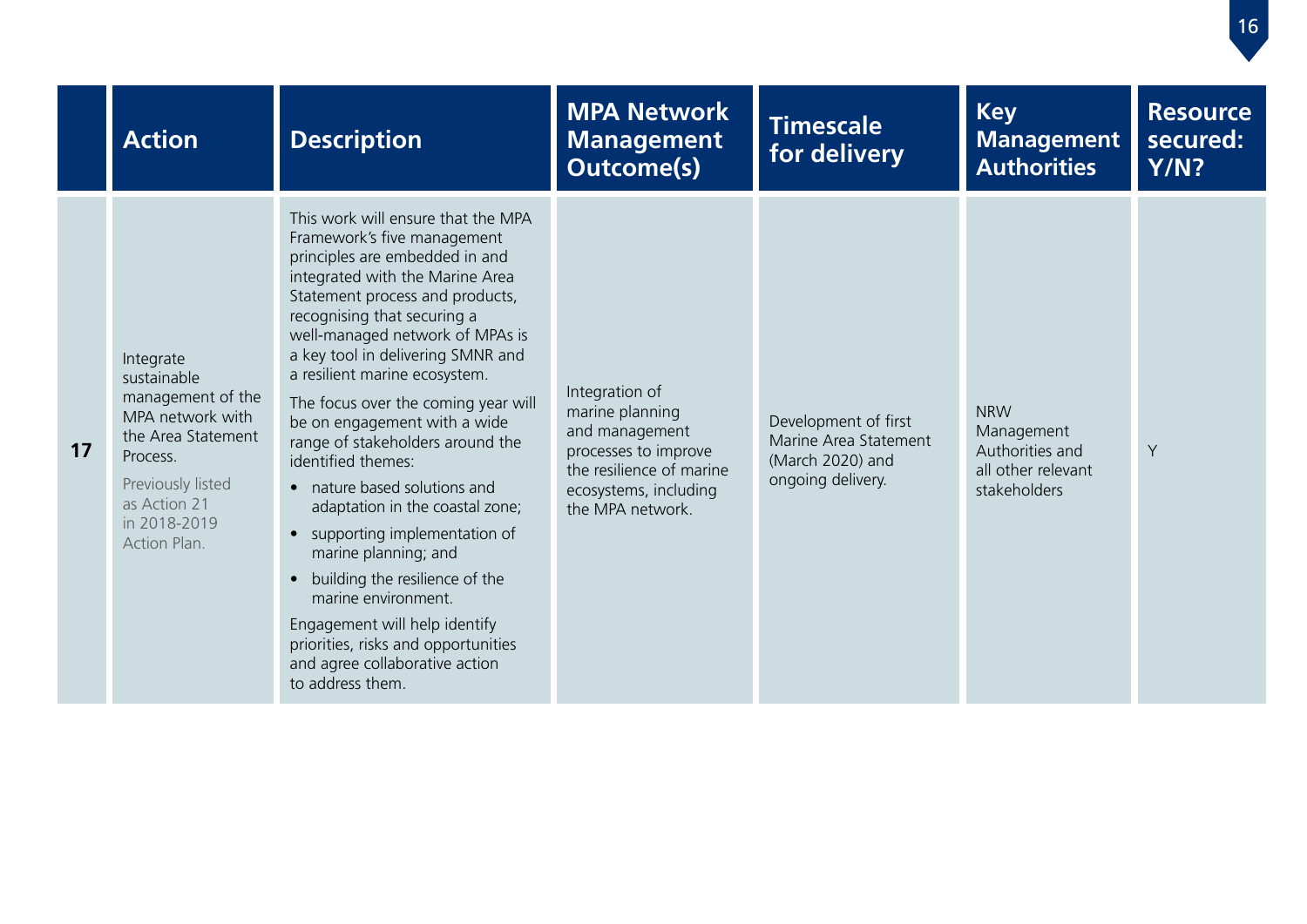|    | <b>Action</b>                                                                                                                                                            | <b>Description</b>                                                                                                                                                                                                                                                                                                                                                                                                                                                                                                                                                                                                                                                                                                                                                                | <b>MPA Network</b><br><b>Management</b><br><b>Outcome(s)</b>                                                                                         | <b>Timescale</b><br>for delivery                                                       | <b>Key</b><br><b>Management</b><br><b>Authorities</b>                             | <b>Resource</b><br>secured:<br>Y/N? |
|----|--------------------------------------------------------------------------------------------------------------------------------------------------------------------------|-----------------------------------------------------------------------------------------------------------------------------------------------------------------------------------------------------------------------------------------------------------------------------------------------------------------------------------------------------------------------------------------------------------------------------------------------------------------------------------------------------------------------------------------------------------------------------------------------------------------------------------------------------------------------------------------------------------------------------------------------------------------------------------|------------------------------------------------------------------------------------------------------------------------------------------------------|----------------------------------------------------------------------------------------|-----------------------------------------------------------------------------------|-------------------------------------|
| 17 | Integrate<br>sustainable<br>management of the<br>MPA network with<br>the Area Statement<br>Process.<br>Previously listed<br>as Action 21<br>in 2018-2019<br>Action Plan. | This work will ensure that the MPA<br>Framework's five management<br>principles are embedded in and<br>integrated with the Marine Area<br>Statement process and products,<br>recognising that securing a<br>well-managed network of MPAs is<br>a key tool in delivering SMNR and<br>a resilient marine ecosystem.<br>The focus over the coming year will<br>be on engagement with a wide<br>range of stakeholders around the<br>identified themes:<br>• nature based solutions and<br>adaptation in the coastal zone;<br>supporting implementation of<br>$\bullet$<br>marine planning; and<br>building the resilience of the<br>marine environment.<br>Engagement will help identify<br>priorities, risks and opportunities<br>and agree collaborative action<br>to address them. | Integration of<br>marine planning<br>and management<br>processes to improve<br>the resilience of marine<br>ecosystems, including<br>the MPA network. | Development of first<br>Marine Area Statement<br>(March 2020) and<br>ongoing delivery. | <b>NRW</b><br>Management<br>Authorities and<br>all other relevant<br>stakeholders | Y                                   |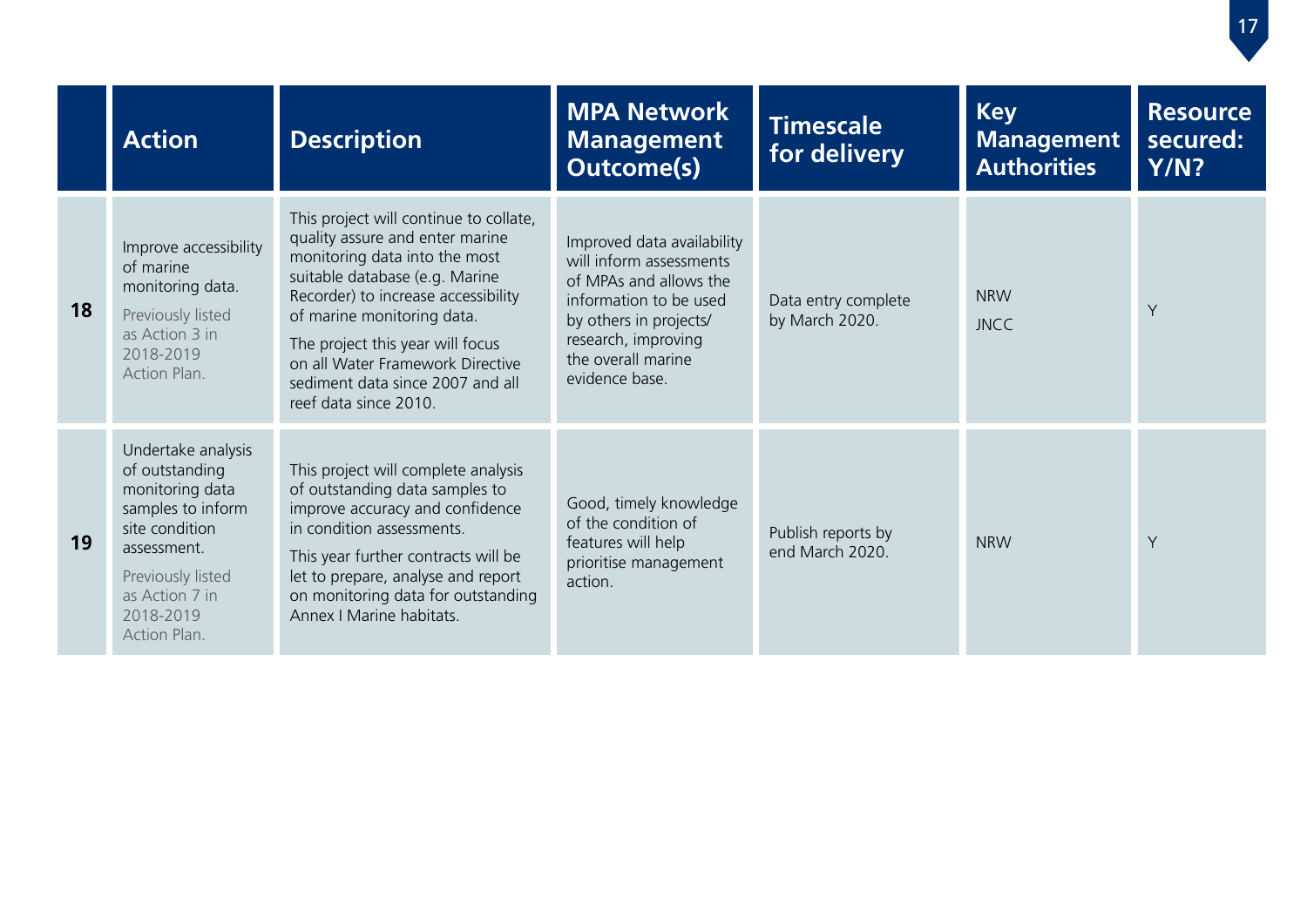|    | <b>Action</b>                                                                                                                                                                     | <b>Description</b>                                                                                                                                                                                                                                                                                                                                     | <b>MPA Network</b><br><b>Management</b><br><b>Outcome(s)</b>                                                                                                                                       | <b>Timescale</b><br>for delivery      | <b>Key</b><br><b>Management</b><br><b>Authorities</b> | <b>Resource</b><br>secured:<br><b>Y/N?</b> |
|----|-----------------------------------------------------------------------------------------------------------------------------------------------------------------------------------|--------------------------------------------------------------------------------------------------------------------------------------------------------------------------------------------------------------------------------------------------------------------------------------------------------------------------------------------------------|----------------------------------------------------------------------------------------------------------------------------------------------------------------------------------------------------|---------------------------------------|-------------------------------------------------------|--------------------------------------------|
| 18 | Improve accessibility<br>of marine<br>monitoring data.<br>Previously listed<br>as Action 3 in<br>2018-2019<br>Action Plan.                                                        | This project will continue to collate,<br>quality assure and enter marine<br>monitoring data into the most<br>suitable database (e.g. Marine<br>Recorder) to increase accessibility<br>of marine monitoring data.<br>The project this year will focus<br>on all Water Framework Directive<br>sediment data since 2007 and all<br>reef data since 2010. | Improved data availability<br>will inform assessments<br>of MPAs and allows the<br>information to be used<br>by others in projects/<br>research, improving<br>the overall marine<br>evidence base. | Data entry complete<br>by March 2020. | <b>NRW</b><br><b>JNCC</b>                             | Y                                          |
| 19 | Undertake analysis<br>of outstanding<br>monitoring data<br>samples to inform<br>site condition<br>assessment.<br>Previously listed<br>as Action 7 in<br>2018-2019<br>Action Plan. | This project will complete analysis<br>of outstanding data samples to<br>improve accuracy and confidence<br>in condition assessments.<br>This year further contracts will be<br>let to prepare, analyse and report<br>on monitoring data for outstanding<br>Annex   Marine habitats.                                                                   | Good, timely knowledge<br>of the condition of<br>features will help<br>prioritise management<br>action.                                                                                            | Publish reports by<br>end March 2020. | <b>NRW</b>                                            | Y                                          |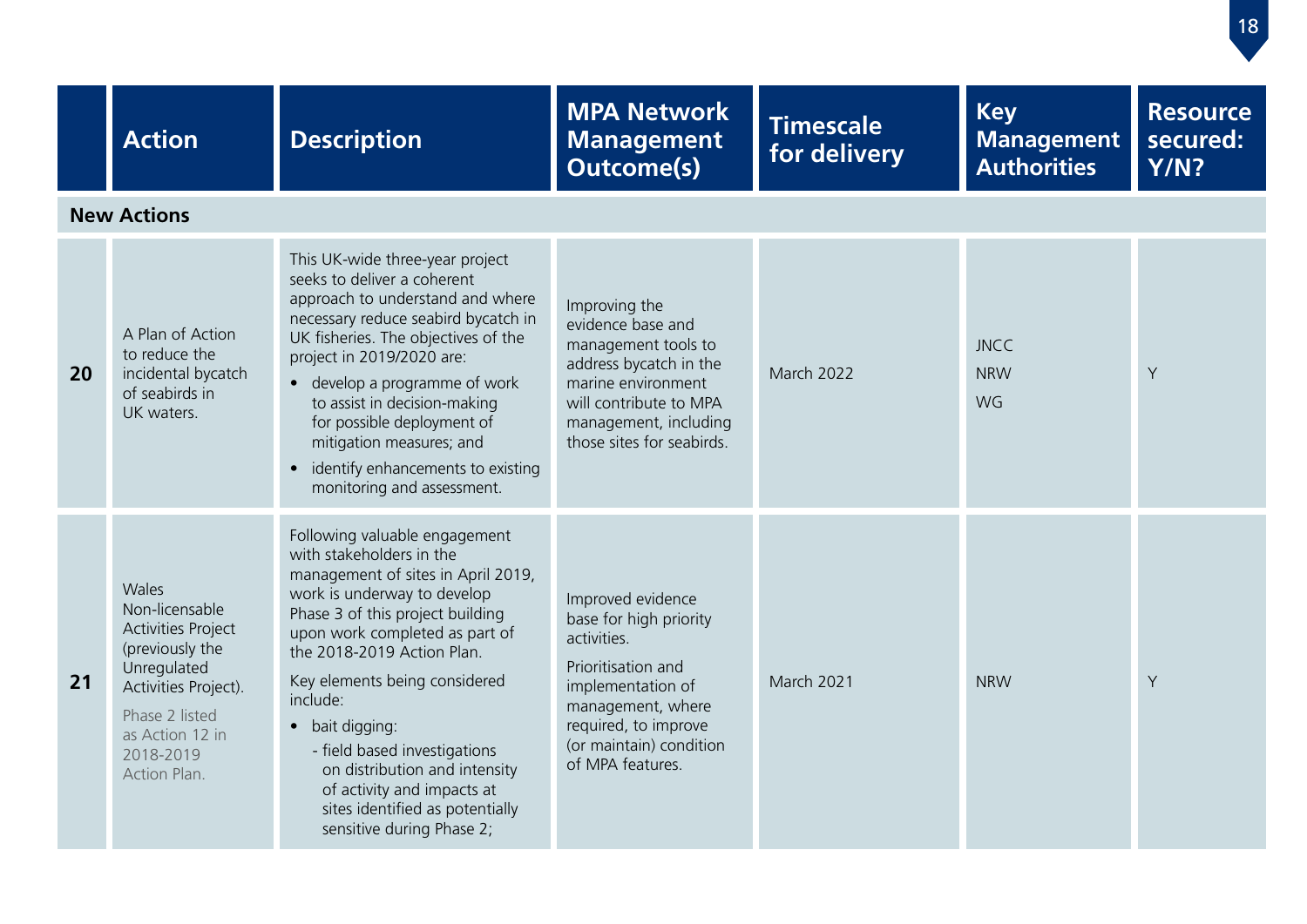|    | <b>Action</b>                                                                                                                                                                    | <b>Description</b>                                                                                                                                                                                                                                                                                                                                                                                                                                                | <b>MPA Network</b><br><b>Management</b><br><b>Outcome(s)</b>                                                                                                                                      | <b>Timescale</b><br>for delivery | <b>Key</b><br><b>Management</b><br><b>Authorities</b> | <b>Resource</b><br>secured:<br><b>Y/N?</b> |
|----|----------------------------------------------------------------------------------------------------------------------------------------------------------------------------------|-------------------------------------------------------------------------------------------------------------------------------------------------------------------------------------------------------------------------------------------------------------------------------------------------------------------------------------------------------------------------------------------------------------------------------------------------------------------|---------------------------------------------------------------------------------------------------------------------------------------------------------------------------------------------------|----------------------------------|-------------------------------------------------------|--------------------------------------------|
|    | <b>New Actions</b>                                                                                                                                                               |                                                                                                                                                                                                                                                                                                                                                                                                                                                                   |                                                                                                                                                                                                   |                                  |                                                       |                                            |
| 20 | A Plan of Action<br>to reduce the<br>incidental bycatch<br>of seabirds in<br>UK waters.                                                                                          | This UK-wide three-year project<br>seeks to deliver a coherent<br>approach to understand and where<br>necessary reduce seabird bycatch in<br>UK fisheries. The objectives of the<br>project in 2019/2020 are:<br>• develop a programme of work<br>to assist in decision-making<br>for possible deployment of<br>mitigation measures; and<br>identify enhancements to existing<br>$\bullet$<br>monitoring and assessment.                                          | Improving the<br>evidence base and<br>management tools to<br>address bycatch in the<br>marine environment<br>will contribute to MPA<br>management, including<br>those sites for seabirds.         | <b>March 2022</b>                | <b>JNCC</b><br><b>NRW</b><br>WG                       | Y                                          |
| 21 | Wales<br>Non-licensable<br><b>Activities Project</b><br>(previously the<br>Unregulated<br>Activities Project).<br>Phase 2 listed<br>as Action 12 in<br>2018-2019<br>Action Plan. | Following valuable engagement<br>with stakeholders in the<br>management of sites in April 2019,<br>work is underway to develop<br>Phase 3 of this project building<br>upon work completed as part of<br>the 2018-2019 Action Plan.<br>Key elements being considered<br>include:<br>• bait digging:<br>- field based investigations<br>on distribution and intensity<br>of activity and impacts at<br>sites identified as potentially<br>sensitive during Phase 2; | Improved evidence<br>base for high priority<br>activities.<br>Prioritisation and<br>implementation of<br>management, where<br>required, to improve<br>(or maintain) condition<br>of MPA features. | <b>March 2021</b>                | <b>NRW</b>                                            | Y                                          |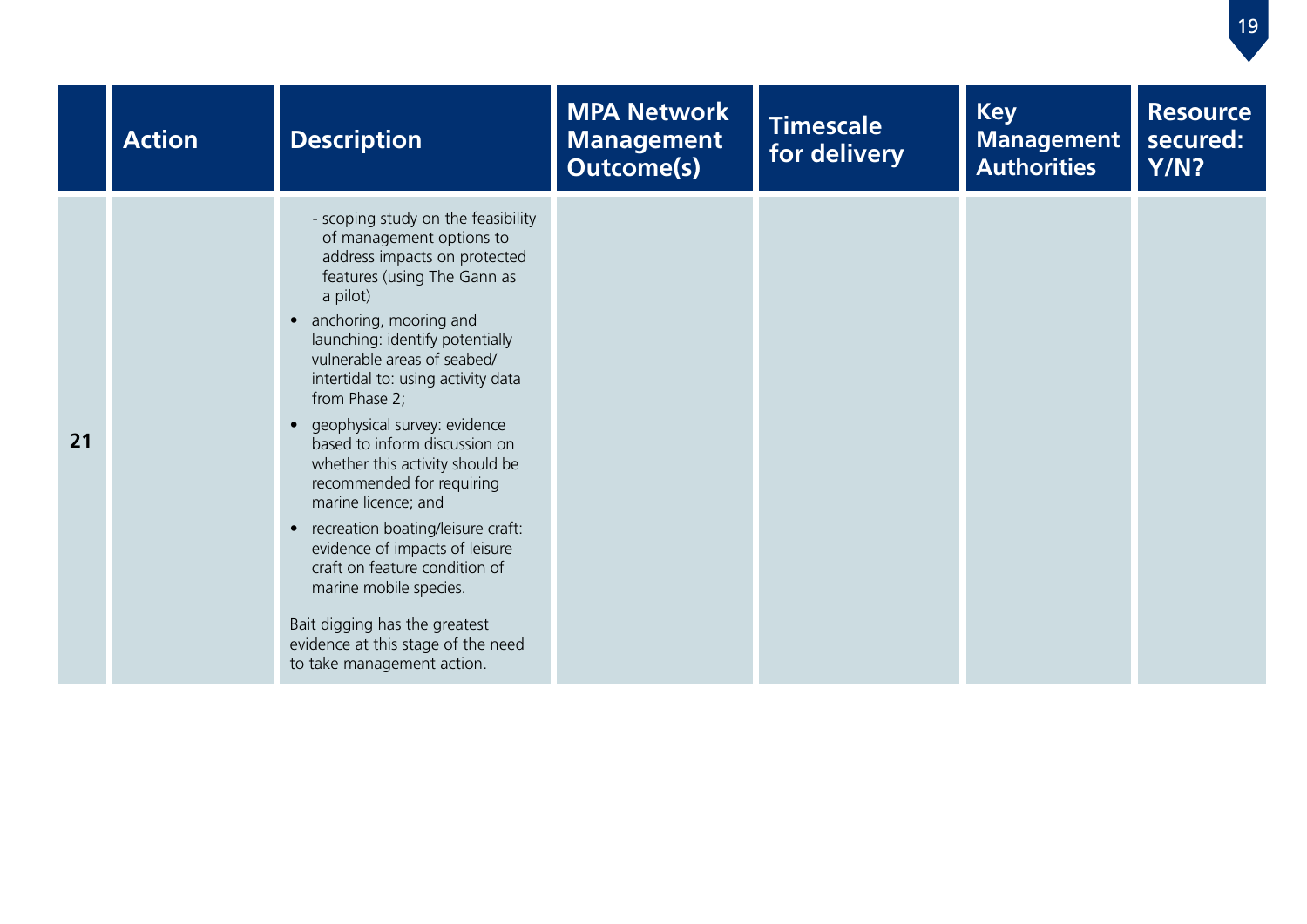|    | <b>Action</b> | <b>Description</b>                                                                                                                                                                                                                                                                                                                                                                                                                                                                                                                                                                                                                                                                                | <b>MPA Network</b><br><b>Management</b><br><b>Outcome(s)</b> | <b>Timescale</b><br>for delivery | <b>Key</b><br><b>Management</b><br><b>Authorities</b> | <b>Resource</b><br>secured:<br><b>Y/N?</b> |
|----|---------------|---------------------------------------------------------------------------------------------------------------------------------------------------------------------------------------------------------------------------------------------------------------------------------------------------------------------------------------------------------------------------------------------------------------------------------------------------------------------------------------------------------------------------------------------------------------------------------------------------------------------------------------------------------------------------------------------------|--------------------------------------------------------------|----------------------------------|-------------------------------------------------------|--------------------------------------------|
| 21 |               | - scoping study on the feasibility<br>of management options to<br>address impacts on protected<br>features (using The Gann as<br>a pilot)<br>• anchoring, mooring and<br>launching: identify potentially<br>vulnerable areas of seabed/<br>intertidal to: using activity data<br>from Phase 2;<br>• geophysical survey: evidence<br>based to inform discussion on<br>whether this activity should be<br>recommended for requiring<br>marine licence; and<br>• recreation boating/leisure craft:<br>evidence of impacts of leisure<br>craft on feature condition of<br>marine mobile species.<br>Bait digging has the greatest<br>evidence at this stage of the need<br>to take management action. |                                                              |                                  |                                                       |                                            |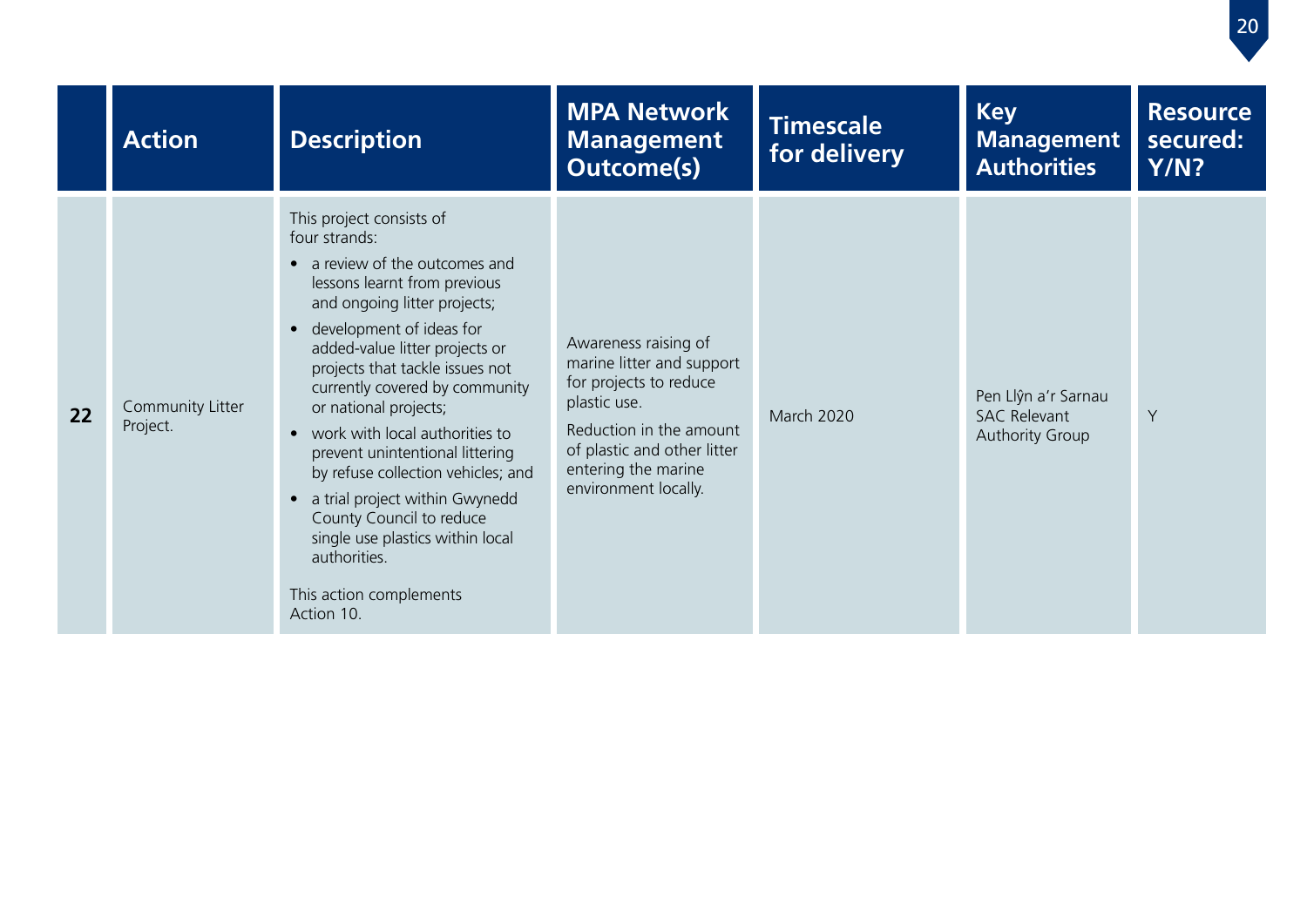|    | <b>Action</b>                | <b>Description</b>                                                                                                                                                                                                                                                                                                                                                                                                                                                                                                                                                                  | <b>MPA Network</b><br><b>Management</b><br><b>Outcome(s)</b>                                                                                                                                         | <b>Timescale</b><br>for delivery | <b>Key</b><br><b>Management</b><br><b>Authorities</b>                | <b>Resource</b><br>secured:<br><b>Y/N?</b> |
|----|------------------------------|-------------------------------------------------------------------------------------------------------------------------------------------------------------------------------------------------------------------------------------------------------------------------------------------------------------------------------------------------------------------------------------------------------------------------------------------------------------------------------------------------------------------------------------------------------------------------------------|------------------------------------------------------------------------------------------------------------------------------------------------------------------------------------------------------|----------------------------------|----------------------------------------------------------------------|--------------------------------------------|
| 22 | Community Litter<br>Project. | This project consists of<br>four strands:<br>• a review of the outcomes and<br>lessons learnt from previous<br>and ongoing litter projects;<br>• development of ideas for<br>added-value litter projects or<br>projects that tackle issues not<br>currently covered by community<br>or national projects;<br>• work with local authorities to<br>prevent unintentional littering<br>by refuse collection vehicles; and<br>• a trial project within Gwynedd<br>County Council to reduce<br>single use plastics within local<br>authorities.<br>This action complements<br>Action 10. | Awareness raising of<br>marine litter and support<br>for projects to reduce<br>plastic use.<br>Reduction in the amount<br>of plastic and other litter<br>entering the marine<br>environment locally. | <b>March 2020</b>                | Pen Llŷn a'r Sarnau<br><b>SAC Relevant</b><br><b>Authority Group</b> | Y                                          |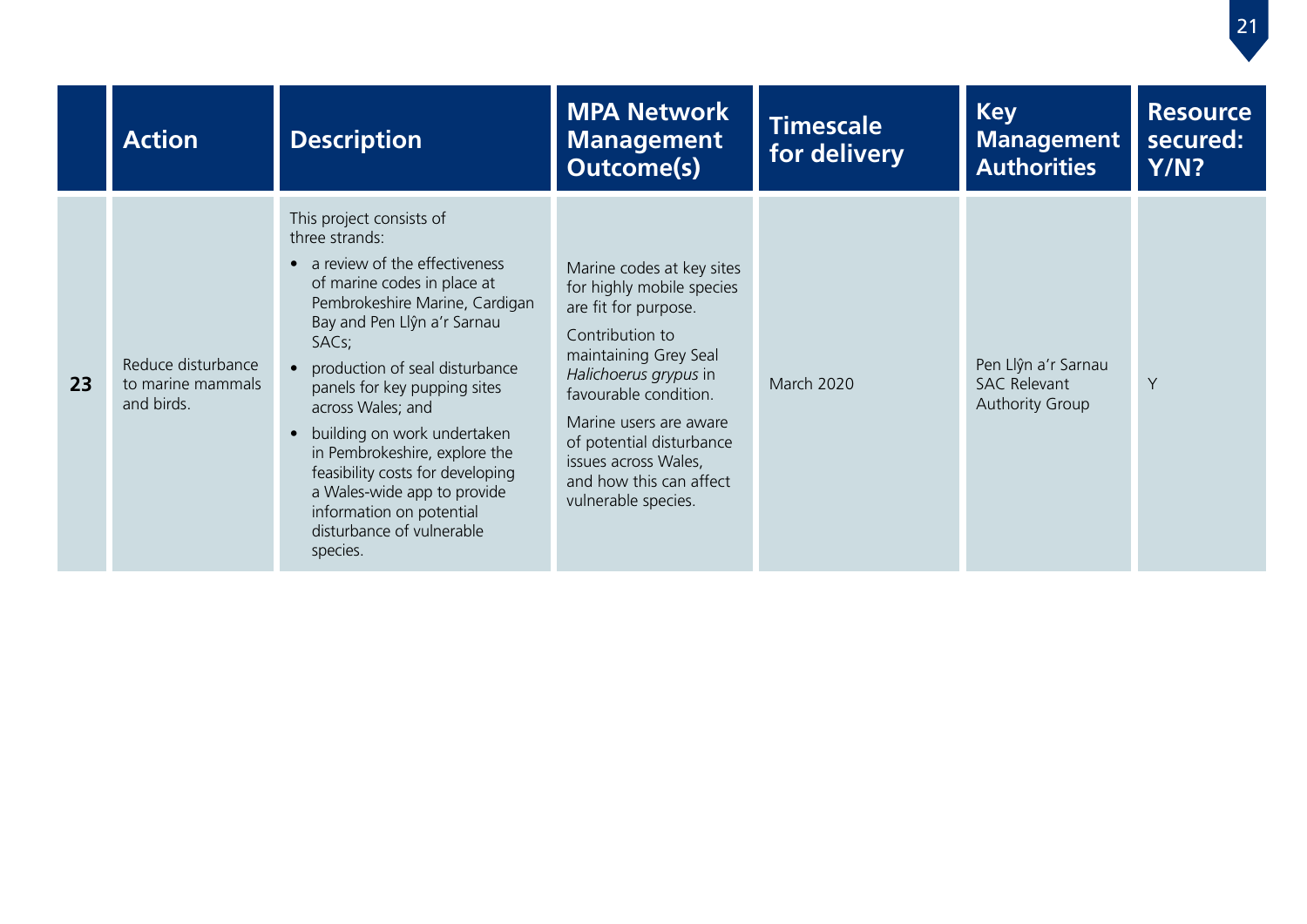|    | <b>Action</b>                                         | <b>Description</b>                                                                                                                                                                                                                                                                                                                                                                                                                                                                                                | <b>MPA Network</b><br><b>Management</b><br><b>Outcome(s)</b>                                                                                                                                                                                                                                                 | Timescale<br>for delivery | <b>Key</b><br><b>Management</b><br><b>Authorities</b>                | <b>Resource</b><br>secured:<br>Y/N? |
|----|-------------------------------------------------------|-------------------------------------------------------------------------------------------------------------------------------------------------------------------------------------------------------------------------------------------------------------------------------------------------------------------------------------------------------------------------------------------------------------------------------------------------------------------------------------------------------------------|--------------------------------------------------------------------------------------------------------------------------------------------------------------------------------------------------------------------------------------------------------------------------------------------------------------|---------------------------|----------------------------------------------------------------------|-------------------------------------|
| 23 | Reduce disturbance<br>to marine mammals<br>and birds. | This project consists of<br>three strands:<br>• a review of the effectiveness<br>of marine codes in place at<br>Pembrokeshire Marine, Cardigan<br>Bay and Pen Llŷn a'r Sarnau<br>SAC <sub>s</sub> ;<br>production of seal disturbance<br>$\bullet$<br>panels for key pupping sites<br>across Wales; and<br>• building on work undertaken<br>in Pembrokeshire, explore the<br>feasibility costs for developing<br>a Wales-wide app to provide<br>information on potential<br>disturbance of vulnerable<br>species. | Marine codes at key sites<br>for highly mobile species<br>are fit for purpose.<br>Contribution to<br>maintaining Grey Seal<br>Halichoerus grypus in<br>favourable condition.<br>Marine users are aware<br>of potential disturbance<br>issues across Wales,<br>and how this can affect<br>vulnerable species. | <b>March 2020</b>         | Pen Llŷn a'r Sarnau<br><b>SAC Relevant</b><br><b>Authority Group</b> | Y                                   |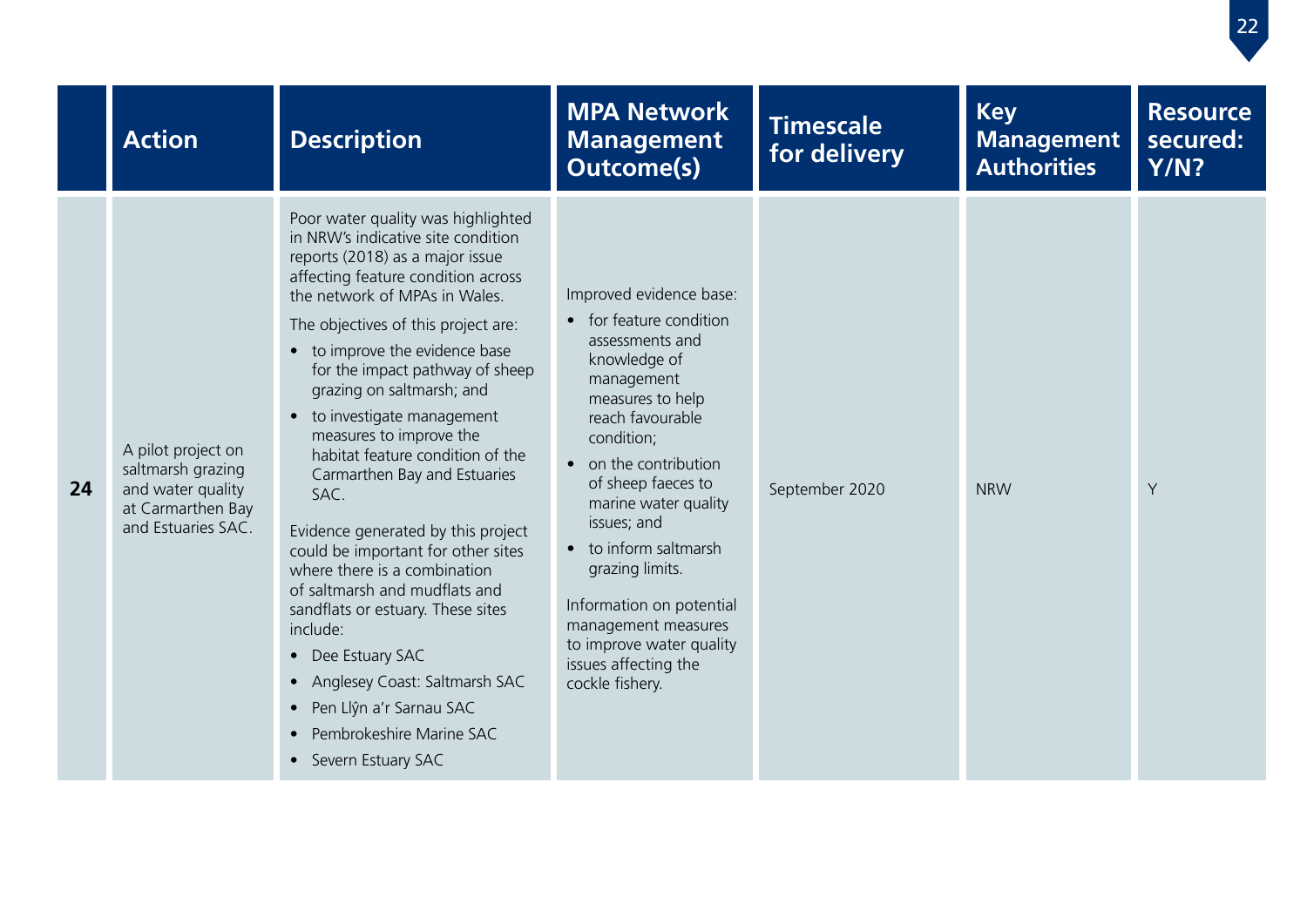|    | <b>Action</b>                                                                                           | <b>Description</b>                                                                                                                                                                                                                                                                                                                                                                                                                                                                                                                                                                                                                                                                                                                                                                                                             | <b>MPA Network</b><br><b>Management</b><br><b>Outcome(s)</b>                                                                                                                                                                                                                                                                                                                                                        | <b>Timescale</b><br>for delivery | <b>Key</b><br><b>Management</b><br><b>Authorities</b> | <b>Resource</b><br>secured:<br>Y/N? |
|----|---------------------------------------------------------------------------------------------------------|--------------------------------------------------------------------------------------------------------------------------------------------------------------------------------------------------------------------------------------------------------------------------------------------------------------------------------------------------------------------------------------------------------------------------------------------------------------------------------------------------------------------------------------------------------------------------------------------------------------------------------------------------------------------------------------------------------------------------------------------------------------------------------------------------------------------------------|---------------------------------------------------------------------------------------------------------------------------------------------------------------------------------------------------------------------------------------------------------------------------------------------------------------------------------------------------------------------------------------------------------------------|----------------------------------|-------------------------------------------------------|-------------------------------------|
| 24 | A pilot project on<br>saltmarsh grazing<br>and water quality<br>at Carmarthen Bay<br>and Estuaries SAC. | Poor water quality was highlighted<br>in NRW's indicative site condition<br>reports (2018) as a major issue<br>affecting feature condition across<br>the network of MPAs in Wales.<br>The objectives of this project are:<br>• to improve the evidence base<br>for the impact pathway of sheep<br>grazing on saltmarsh; and<br>• to investigate management<br>measures to improve the<br>habitat feature condition of the<br>Carmarthen Bay and Estuaries<br>SAC.<br>Evidence generated by this project<br>could be important for other sites<br>where there is a combination<br>of saltmarsh and mudflats and<br>sandflats or estuary. These sites<br>include:<br>• Dee Estuary SAC<br>Anglesey Coast: Saltmarsh SAC<br>Pen Llŷn a'r Sarnau SAC<br>$\bullet$<br>Pembrokeshire Marine SAC<br>$\bullet$<br>• Severn Estuary SAC | Improved evidence base:<br>• for feature condition<br>assessments and<br>knowledge of<br>management<br>measures to help<br>reach favourable<br>condition;<br>• on the contribution<br>of sheep faeces to<br>marine water quality<br>issues; and<br>to inform saltmarsh<br>grazing limits.<br>Information on potential<br>management measures<br>to improve water quality<br>issues affecting the<br>cockle fishery. | September 2020                   | <b>NRW</b>                                            | Y                                   |

22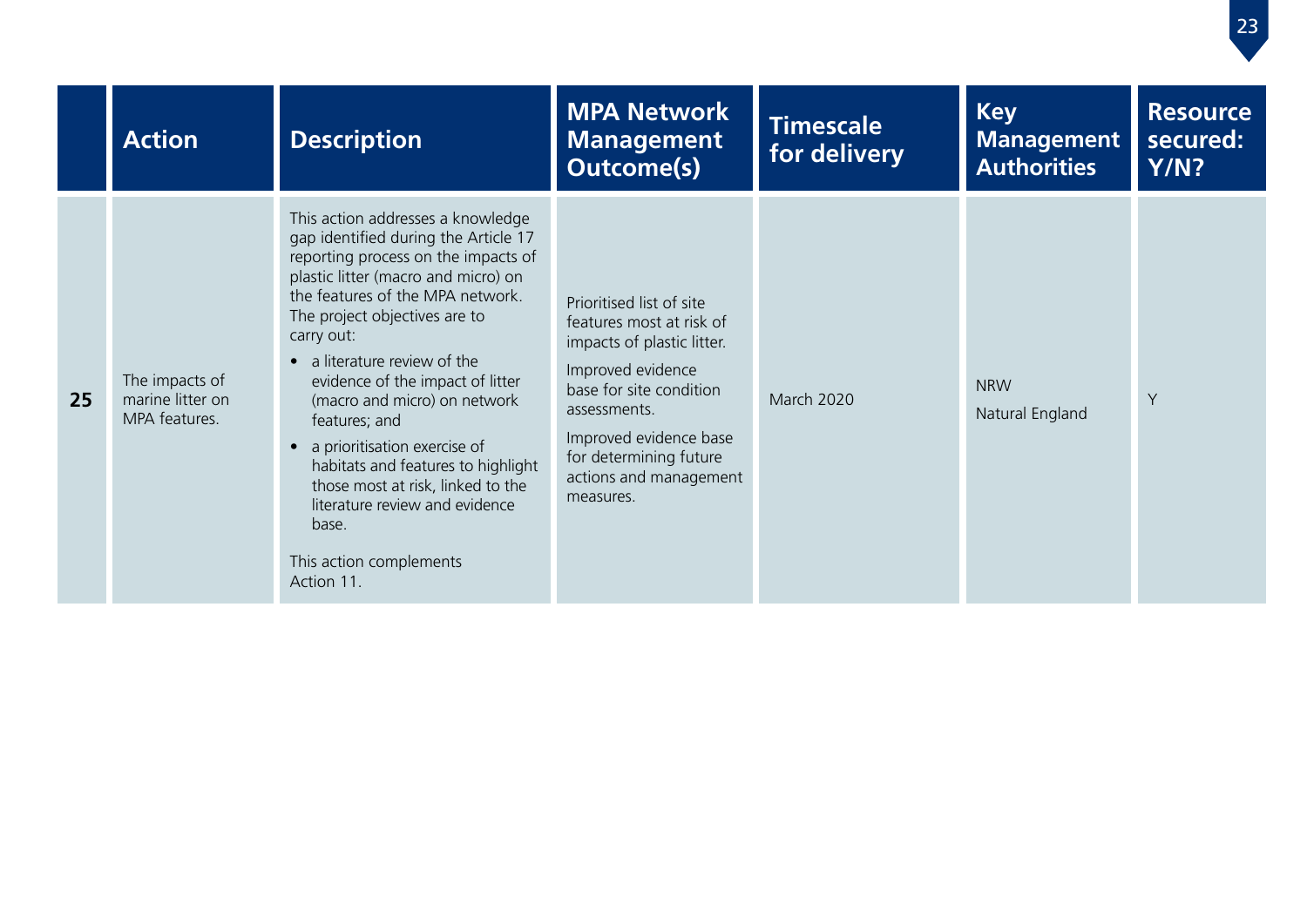|    | <b>Action</b>                                       | <b>Description</b>                                                                                                                                                                                                                                                                                                                                                                                                                                                                                                                                               | <b>MPA Network</b><br><b>Management</b><br><b>Outcome(s)</b>                                                                                                                                                                                  | <b>Timescale</b><br>for delivery | <b>Key</b><br><b>Management</b><br><b>Authorities</b> | <b>Resource</b><br>secured:<br>Y/N? |
|----|-----------------------------------------------------|------------------------------------------------------------------------------------------------------------------------------------------------------------------------------------------------------------------------------------------------------------------------------------------------------------------------------------------------------------------------------------------------------------------------------------------------------------------------------------------------------------------------------------------------------------------|-----------------------------------------------------------------------------------------------------------------------------------------------------------------------------------------------------------------------------------------------|----------------------------------|-------------------------------------------------------|-------------------------------------|
| 25 | The impacts of<br>marine litter on<br>MPA features. | This action addresses a knowledge<br>gap identified during the Article 17<br>reporting process on the impacts of<br>plastic litter (macro and micro) on<br>the features of the MPA network.<br>The project objectives are to<br>carry out:<br>• a literature review of the<br>evidence of the impact of litter<br>(macro and micro) on network<br>features; and<br>• a prioritisation exercise of<br>habitats and features to highlight<br>those most at risk, linked to the<br>literature review and evidence<br>base.<br>This action complements<br>Action 11. | Prioritised list of site<br>features most at risk of<br>impacts of plastic litter.<br>Improved evidence<br>base for site condition<br>assessments.<br>Improved evidence base<br>for determining future<br>actions and management<br>measures. | <b>March 2020</b>                | <b>NRW</b><br>Natural England                         | Y                                   |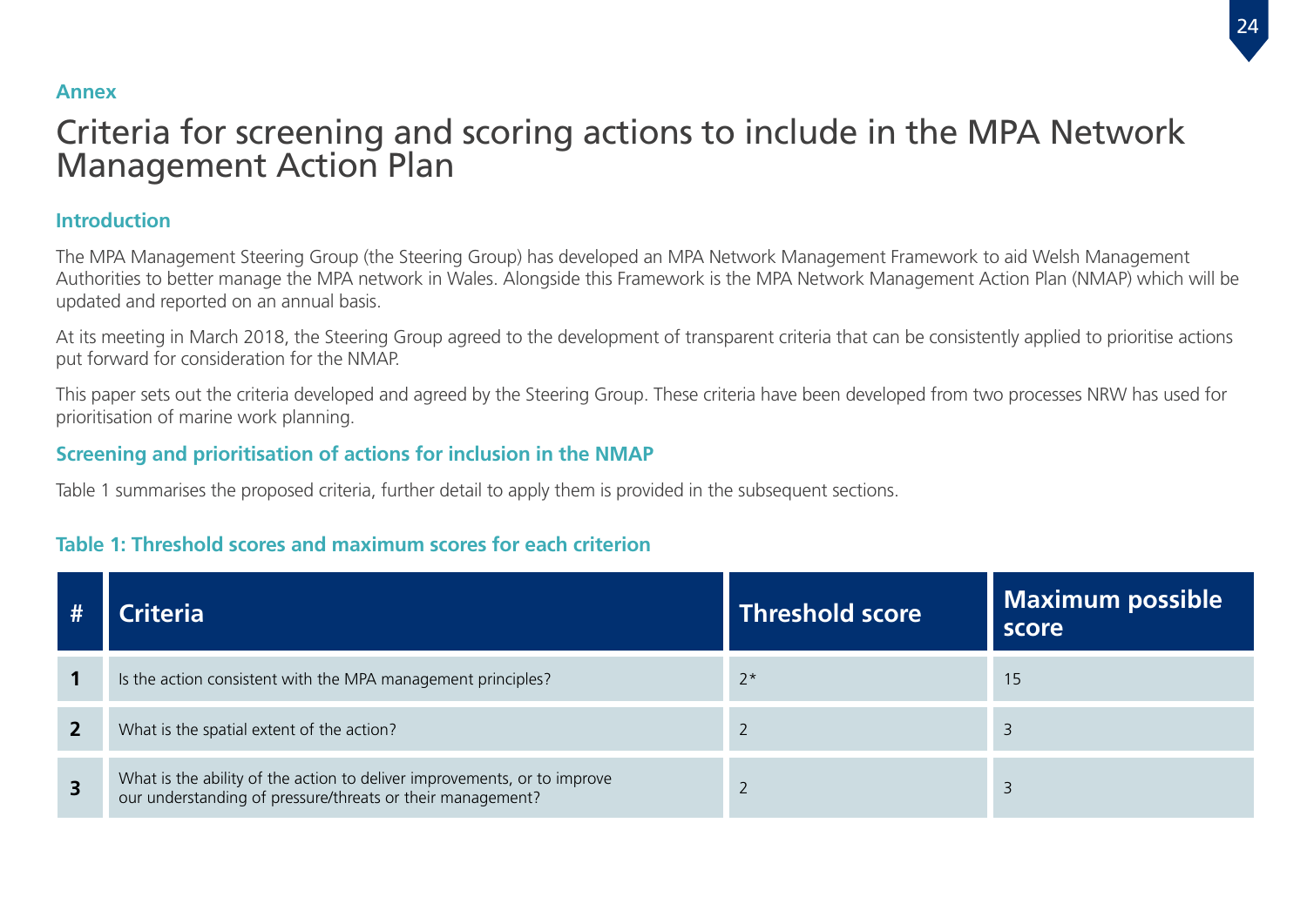#### <span id="page-24-0"></span>**Annex**

## Criteria for screening and scoring actions to include in the MPA Network Management Action Plan

#### **Introduction**

The MPA Management Steering Group (the Steering Group) has developed an MPA Network Management Framework to aid Welsh Management Authorities to better manage the MPA network in Wales. Alongside this Framework is the MPA Network Management Action Plan (NMAP) which will be updated and reported on an annual basis.

At its meeting in March 2018, the Steering Group agreed to the development of transparent criteria that can be consistently applied to prioritise actions put forward for consideration for the NMAP.

This paper sets out the criteria developed and agreed by the Steering Group. These criteria have been developed from two processes NRW has used for prioritisation of marine work planning.

#### **Screening and prioritisation of actions for inclusion in the NMAP**

Table 1 summarises the proposed criteria, further detail to apply them is provided in the subsequent sections.

#### **Table 1: Threshold scores and maximum scores for each criterion**

|                         | :riteria                                                                                                                            | <b>Threshold score</b> | <b>Maximum possible</b><br>score |
|-------------------------|-------------------------------------------------------------------------------------------------------------------------------------|------------------------|----------------------------------|
|                         | Is the action consistent with the MPA management principles?                                                                        | $2*$                   | 15                               |
|                         | What is the spatial extent of the action?                                                                                           |                        |                                  |
| $\overline{\mathbf{3}}$ | What is the ability of the action to deliver improvements, or to improve our understanding of pressure/threats or their management? |                        |                                  |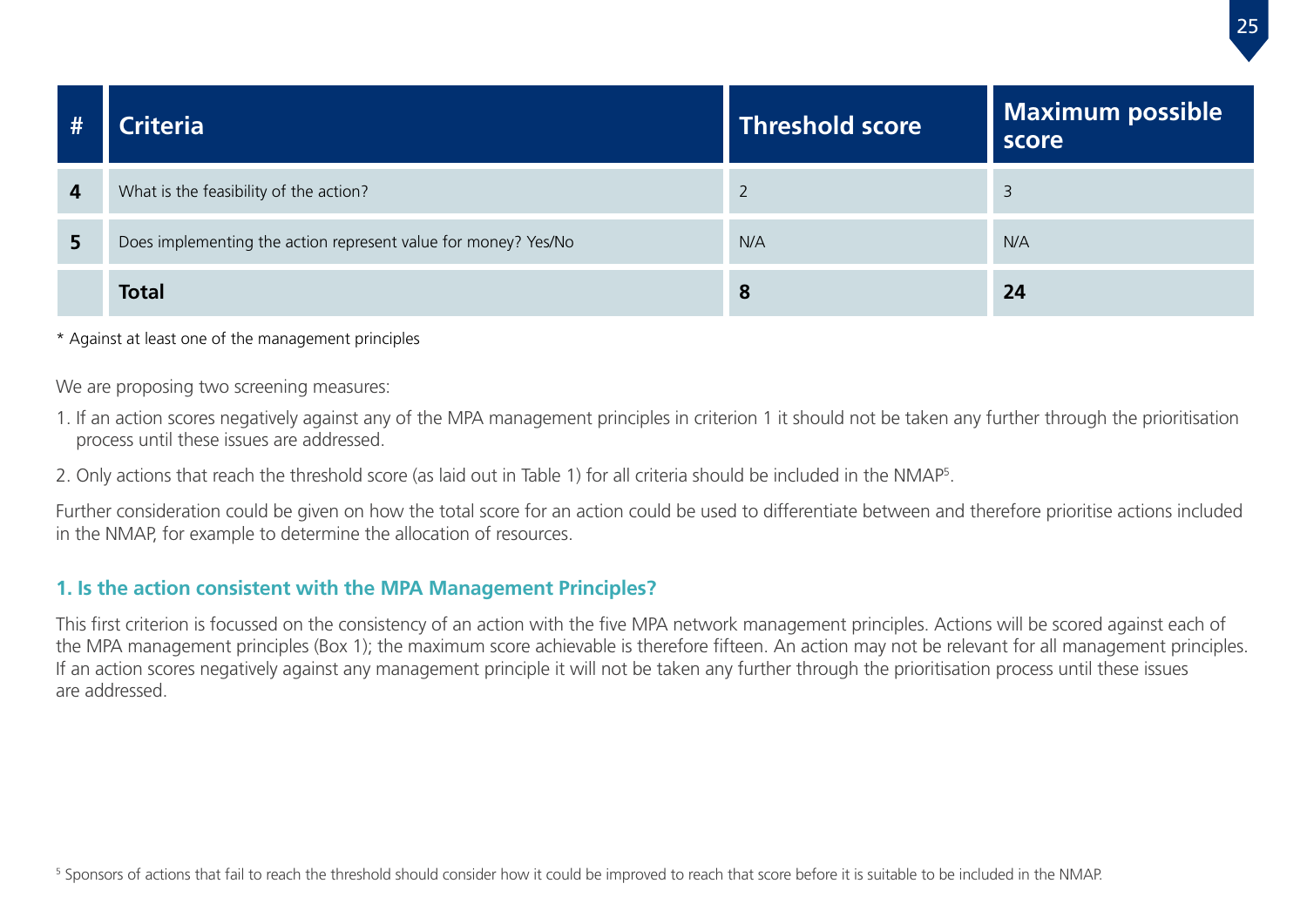| #              | Criteria                                                       | <b>Threshold score</b> | <b>Maximum possible</b><br>score |
|----------------|----------------------------------------------------------------|------------------------|----------------------------------|
| $\overline{4}$ | What is the feasibility of the action?                         |                        | 3                                |
| 5              | Does implementing the action represent value for money? Yes/No | N/A                    | N/A                              |
|                | <b>Total</b>                                                   | 8                      | 24                               |

\* Against at least one of the management principles

We are proposing two screening measures:

- 1. If an action scores negatively against any of the MPA management principles in criterion 1 it should not be taken any further through the prioritisation process until these issues are addressed.
- 2. Only actions that reach the threshold score (as laid out in Table 1) for all criteria should be included in the NMAP5 .

Further consideration could be given on how the total score for an action could be used to differentiate between and therefore prioritise actions included in the NMAP, for example to determine the allocation of resources.

#### **1. Is the action consistent with the MPA Management Principles?**

This first criterion is focussed on the consistency of an action with the five MPA network management principles. Actions will be scored against each of the MPA management principles (Box 1); the maximum score achievable is therefore fifteen. An action may not be relevant for all management principles. If an action scores negatively against any management principle it will not be taken any further through the prioritisation process until these issues are addressed.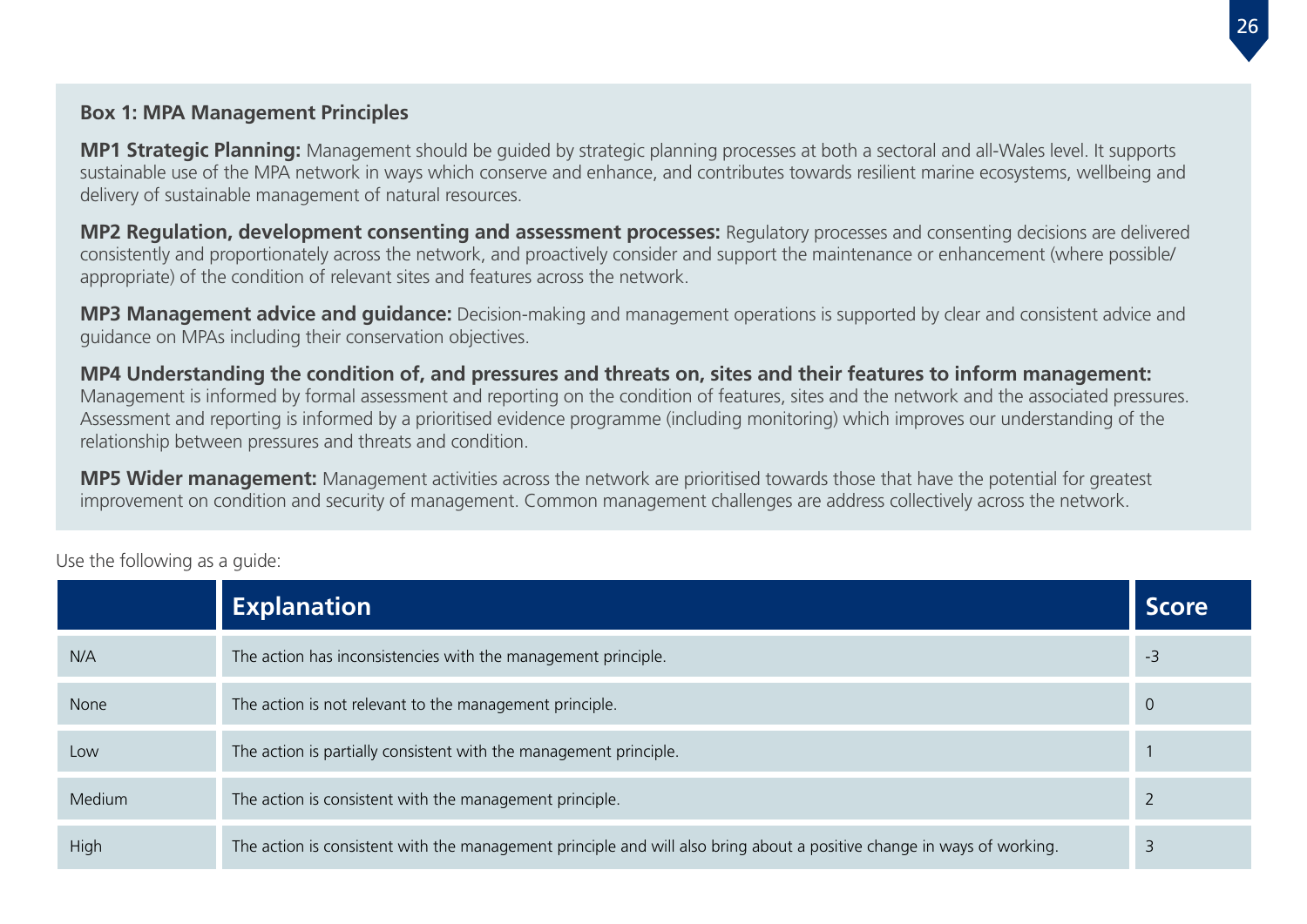#### **Box 1: MPA Management Principles**

**MP1 Strategic Planning:** Management should be guided by strategic planning processes at both a sectoral and all-Wales level. It supports sustainable use of the MPA network in ways which conserve and enhance, and contributes towards resilient marine ecosystems, wellbeing and delivery of sustainable management of natural resources.

**MP2 Regulation, development consenting and assessment processes:** Regulatory processes and consenting decisions are delivered consistently and proportionately across the network, and proactively consider and support the maintenance or enhancement (where possible/ appropriate) of the condition of relevant sites and features across the network.

**MP3 Management advice and guidance:** Decision-making and management operations is supported by clear and consistent advice and guidance on MPAs including their conservation objectives.

**MP4 Understanding the condition of, and pressures and threats on, sites and their features to inform management:**  Management is informed by formal assessment and reporting on the condition of features, sites and the network and the associated pressures. Assessment and reporting is informed by a prioritised evidence programme (including monitoring) which improves our understanding of the relationship between pressures and threats and condition.

**MP5 Wider management:** Management activities across the network are prioritised towards those that have the potential for greatest improvement on condition and security of management. Common management challenges are address collectively across the network.

|             | <b>Explanation</b>                                                                                                     | <b>Score</b>   |
|-------------|------------------------------------------------------------------------------------------------------------------------|----------------|
| N/A         | The action has inconsistencies with the management principle.                                                          | -3             |
| <b>None</b> | The action is not relevant to the management principle.                                                                | $\overline{0}$ |
| Low         | The action is partially consistent with the management principle.                                                      |                |
| Medium      | The action is consistent with the management principle.                                                                |                |
| High        | The action is consistent with the management principle and will also bring about a positive change in ways of working. |                |

Use the following as a guide: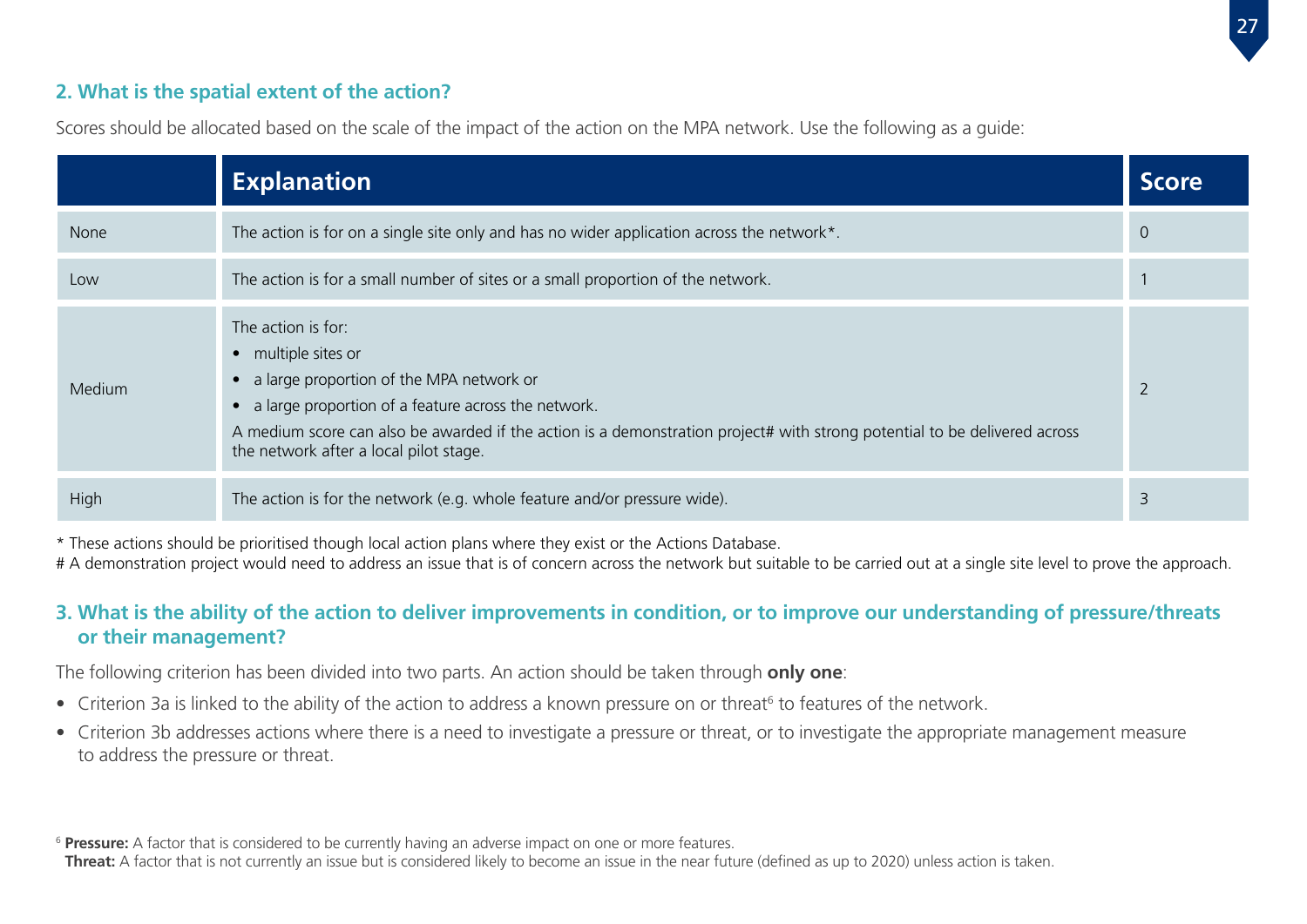#### **2. What is the spatial extent of the action?**

|             | <b>Explanation</b>                                                                                                                                                                                                                                                                                                      | <b>Score</b>   |
|-------------|-------------------------------------------------------------------------------------------------------------------------------------------------------------------------------------------------------------------------------------------------------------------------------------------------------------------------|----------------|
| <b>None</b> | The action is for on a single site only and has no wider application across the network*.                                                                                                                                                                                                                               | $\overline{0}$ |
| Low         | The action is for a small number of sites or a small proportion of the network.                                                                                                                                                                                                                                         |                |
| Medium      | The action is for:<br>• multiple sites or<br>• a large proportion of the MPA network or<br>• a large proportion of a feature across the network.<br>A medium score can also be awarded if the action is a demonstration project# with strong potential to be delivered across<br>the network after a local pilot stage. | $\overline{2}$ |
| High        | The action is for the network (e.g. whole feature and/or pressure wide).                                                                                                                                                                                                                                                | 3              |

Scores should be allocated based on the scale of the impact of the action on the MPA network. Use the following as a guide:

\* These actions should be prioritised though local action plans where they exist or the Actions Database.

# A demonstration project would need to address an issue that is of concern across the network but suitable to be carried out at a single site level to prove the approach.

#### **3. What is the ability of the action to deliver improvements in condition, or to improve our understanding of pressure/threats or their management?**

The following criterion has been divided into two parts. An action should be taken through **only one**:

- Criterion 3a is linked to the ability of the action to address a known pressure on or threat<sup>6</sup> to features of the network.
- Criterion 3b addresses actions where there is a need to investigate a pressure or threat, or to investigate the appropriate management measure to address the pressure or threat.

<sup>&</sup>lt;sup>6</sup> Pressure: A factor that is considered to be currently having an adverse impact on one or more features.

**Threat:** A factor that is not currently an issue but is considered likely to become an issue in the near future (defined as up to 2020) unless action is taken.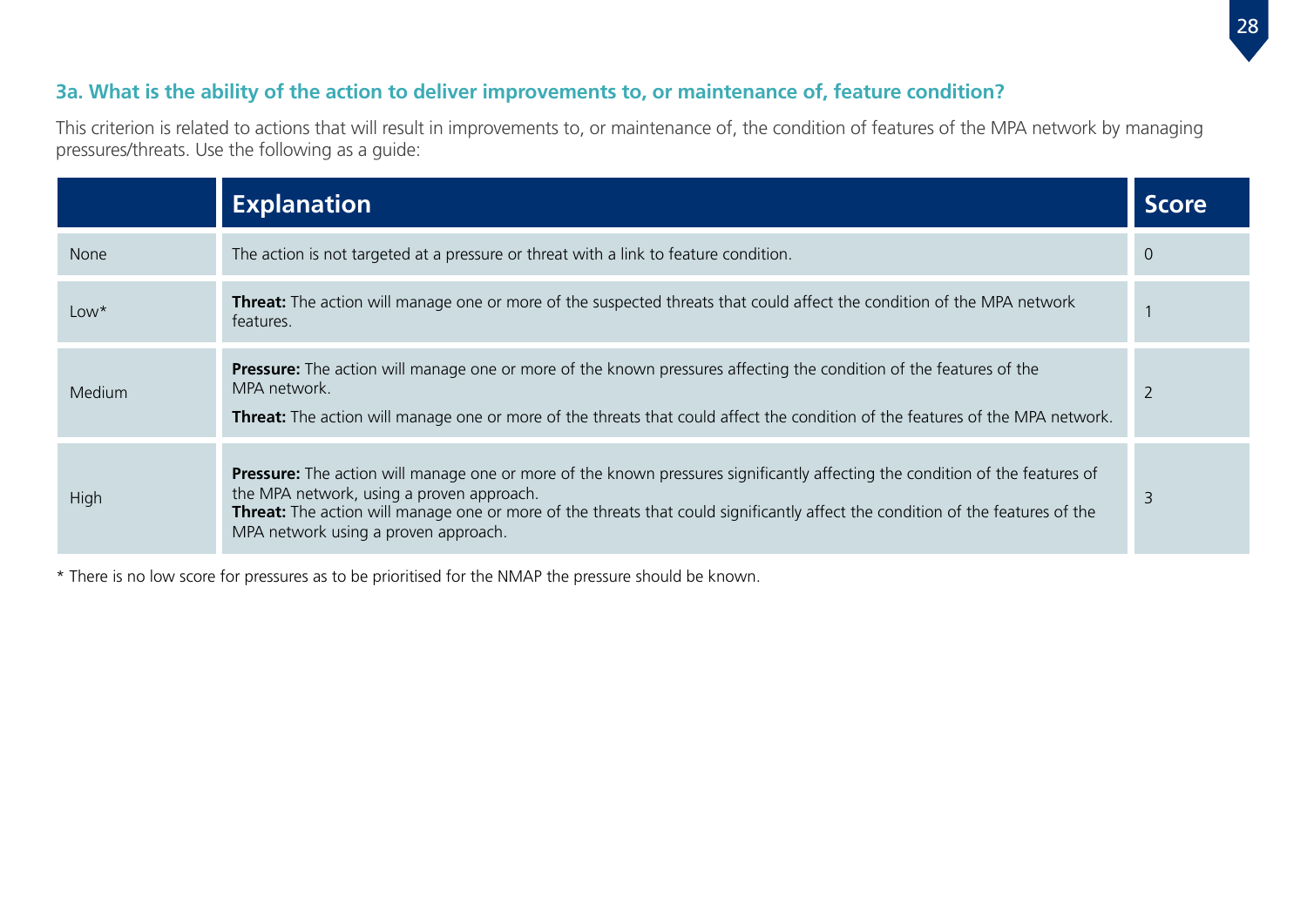#### **3a. What is the ability of the action to deliver improvements to, or maintenance of, feature condition?**

This criterion is related to actions that will result in improvements to, or maintenance of, the condition of features of the MPA network by managing pressures/threats. Use the following as a guide:

|               | <b>Explanation</b>                                                                                                                                                                                                                                                                                                                                         | <b>Score</b> |
|---------------|------------------------------------------------------------------------------------------------------------------------------------------------------------------------------------------------------------------------------------------------------------------------------------------------------------------------------------------------------------|--------------|
| <b>None</b>   | The action is not targeted at a pressure or threat with a link to feature condition.                                                                                                                                                                                                                                                                       | 0            |
| $Low*$        | <b>Threat:</b> The action will manage one or more of the suspected threats that could affect the condition of the MPA network<br>features.                                                                                                                                                                                                                 |              |
| <b>Medium</b> | <b>Pressure:</b> The action will manage one or more of the known pressures affecting the condition of the features of the<br>MPA network.<br>Threat: The action will manage one or more of the threats that could affect the condition of the features of the MPA network.                                                                                 |              |
| <b>High</b>   | <b>Pressure:</b> The action will manage one or more of the known pressures significantly affecting the condition of the features of<br>the MPA network, using a proven approach.<br>Threat: The action will manage one or more of the threats that could significantly affect the condition of the features of the<br>MPA network using a proven approach. | 3            |

\* There is no low score for pressures as to be prioritised for the NMAP the pressure should be known.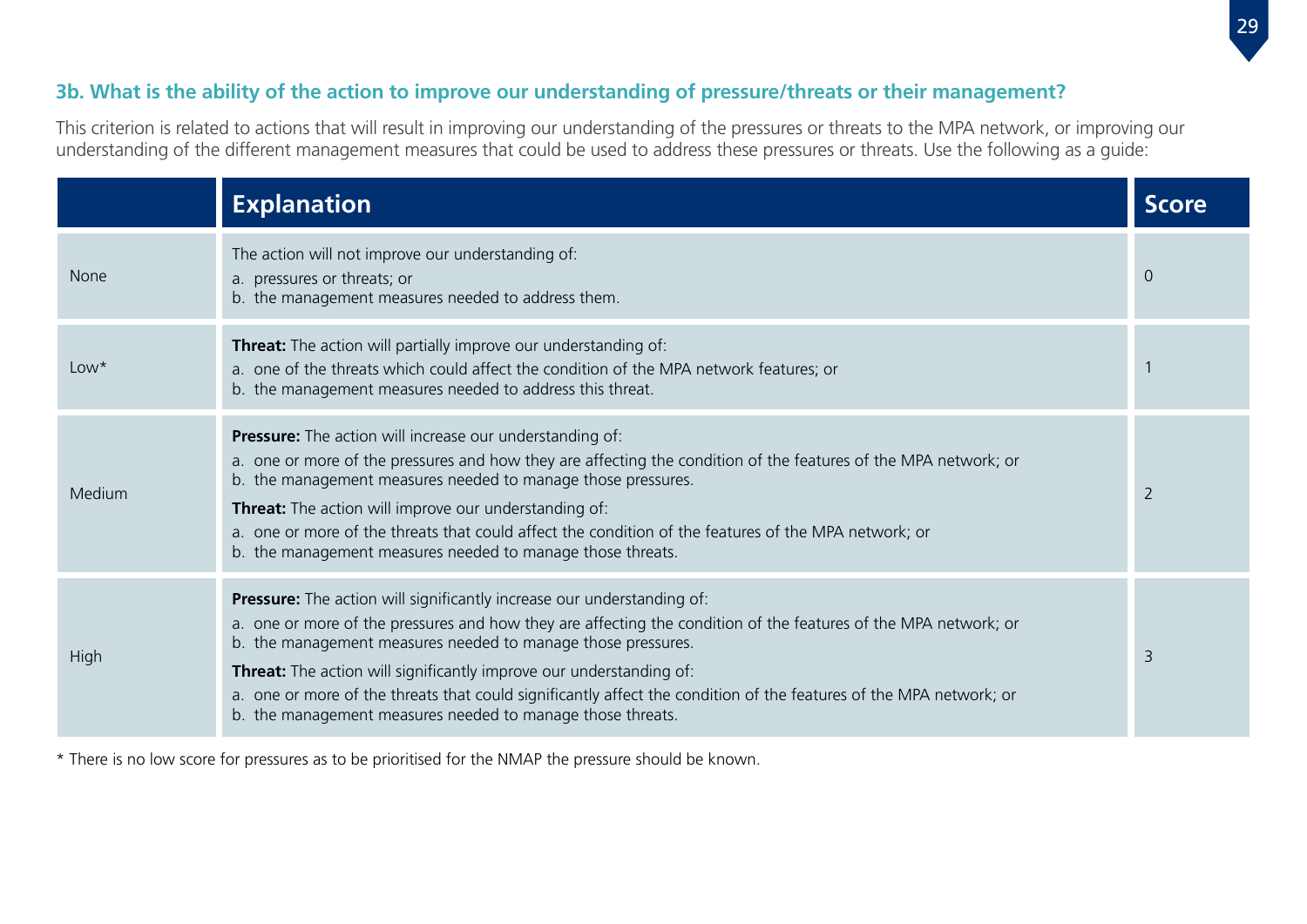#### **3b. What is the ability of the action to improve our understanding of pressure/threats or their management?**

This criterion is related to actions that will result in improving our understanding of the pressures or threats to the MPA network, or improving our understanding of the different management measures that could be used to address these pressures or threats. Use the following as a guide:

|             | <b>Explanation</b>                                                                                                                                                                                                                                                                                                                                                                                                                                                                                                          | <b>Score</b>   |
|-------------|-----------------------------------------------------------------------------------------------------------------------------------------------------------------------------------------------------------------------------------------------------------------------------------------------------------------------------------------------------------------------------------------------------------------------------------------------------------------------------------------------------------------------------|----------------|
| <b>None</b> | The action will not improve our understanding of:<br>a. pressures or threats; or<br>b. the management measures needed to address them.                                                                                                                                                                                                                                                                                                                                                                                      | $\Omega$       |
| $Low*$      | <b>Threat:</b> The action will partially improve our understanding of:<br>a. one of the threats which could affect the condition of the MPA network features; or<br>b. the management measures needed to address this threat.                                                                                                                                                                                                                                                                                               |                |
| Medium      | <b>Pressure:</b> The action will increase our understanding of:<br>a. one or more of the pressures and how they are affecting the condition of the features of the MPA network; or<br>b. the management measures needed to manage those pressures.<br><b>Threat:</b> The action will improve our understanding of:<br>a. one or more of the threats that could affect the condition of the features of the MPA network; or<br>b. the management measures needed to manage those threats.                                    | $\overline{2}$ |
| High        | <b>Pressure:</b> The action will significantly increase our understanding of:<br>a. one or more of the pressures and how they are affecting the condition of the features of the MPA network; or<br>b. the management measures needed to manage those pressures.<br>Threat: The action will significantly improve our understanding of:<br>a. one or more of the threats that could significantly affect the condition of the features of the MPA network; or<br>b. the management measures needed to manage those threats. | 3              |

\* There is no low score for pressures as to be prioritised for the NMAP the pressure should be known.